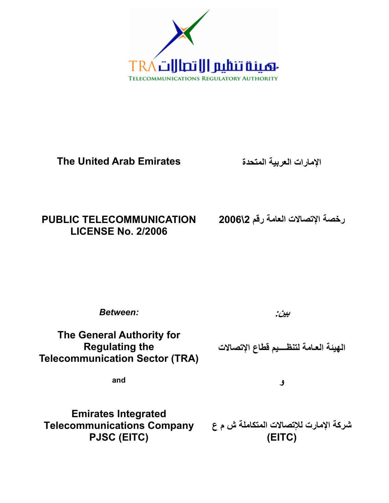

# **The United Arab Emirates**

**الإمارات العربية المتحدة** 

# **PUBLIC TELECOMMUNICATION LICENSE No. 2/2006**

**رخصة الإتصالات العامة رقم \2 2006** 

*Between:* 

**بين:** 

**The General Authority for Regulating the Telecommunication Sector (TRA)** 

**الهيئة العـامة لتنظــــيم قطاع الإتصالات** 

**and** 

**و** 

**Emirates Integrated Telecommunications Company PJSC (EITC)** 

**شرآة الإمارت للإتصالات المتكاملة ش م ع ( EITC)**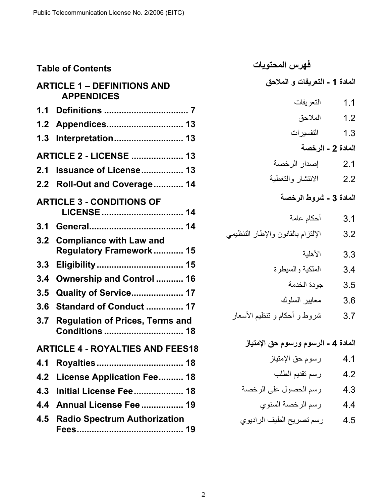| <b>Table of Contents</b> |                                                         | فهرس المحتويات                      |                   |
|--------------------------|---------------------------------------------------------|-------------------------------------|-------------------|
|                          | <b>ARTICLE 1 – DEFINITIONS AND</b><br><b>APPENDICES</b> | المادة 1 - التعريفات و الملاحق      |                   |
| 1.1                      |                                                         | التعريفات                           | 1.1               |
| 1.2                      | Appendices 13                                           | الملاحق                             | 1.2               |
| 1.3                      | Interpretation 13                                       | التفسير ات                          | 1.3               |
|                          |                                                         |                                     | المادة 2 - الرخصة |
|                          | <b>ARTICLE 2 - LICENSE  13</b>                          | إصدار الرخصة                        | 2.1               |
| 2.1                      | <b>Issuance of License 13</b>                           | الانتشار والتغطية                   | 2.2               |
|                          | 2.2 Roll-Out and Coverage 14                            |                                     |                   |
|                          | <b>ARTICLE 3 - CONDITIONS OF</b>                        | المادة 3 - شروط الرخصة              |                   |
|                          |                                                         | أحكام عامة                          | 3.1               |
|                          |                                                         | الإلتزام بالقانون والإطار التنظيمي  | 3.2               |
|                          | 3.2 Compliance with Law and                             |                                     |                   |
|                          | Regulatory Framework  15                                | الأهلبة                             | 3.3               |
| 3.3                      |                                                         | الملكية والسيطرة                    | 3.4               |
| 3.4                      | <b>Ownership and Control  16</b>                        | جودة الخدمة                         | 3.5               |
| 3.5                      | <b>Quality of Service 17</b>                            | معايير السلوك                       | 3.6               |
| 3.6                      | Standard of Conduct  17                                 | شروط و أحكام و تنظيم الأسعار        | 3.7               |
| 3.7                      | <b>Regulation of Prices, Terms and</b>                  |                                     |                   |
|                          |                                                         | المادة 4 - الرسوم ورسوم حق الإمتياز |                   |
|                          | <b>ARTICLE 4 - ROYALTIES AND FEES18</b>                 |                                     |                   |
| 4.1                      |                                                         | رسوم حق الإمتياز                    | 4.1               |
| 4.2                      | License Application Fee 18                              | رسم تقديم الطلب                     | 4.2               |
| 4.3                      | Initial License Fee 18                                  | رسم الحصول على الرخصة               | 4.3               |
| 4.4                      | Annual License Fee  19                                  | رسم الرخصة السنوي                   | 4.4               |
| 4.5                      | <b>Radio Spectrum Authorization</b>                     | رسم تصريح الطيف الراديوي            | 4.5               |
|                          |                                                         |                                     |                   |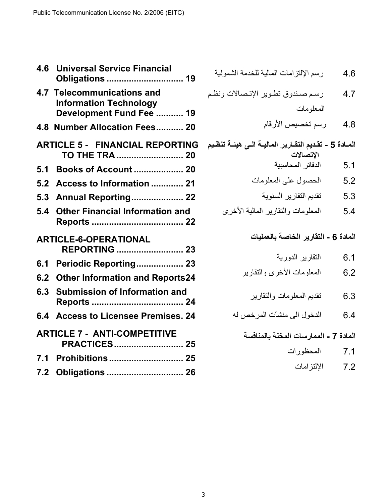| 4.6 | <b>Universal Service Financial</b><br><b>Obligations  19</b>                            |
|-----|-----------------------------------------------------------------------------------------|
|     | 4.7 Telecommunications and<br><b>Information Technology</b><br>Development Fund Fee  19 |
|     | 4.8 Number Allocation Fees 20                                                           |
|     | <b>ARTICLE 5 - FINANCIAL REPORTING</b><br>TO THE TRA  20                                |
| 5.1 | <b>Books of Account  20</b>                                                             |
| 5.2 | Access to Information  21                                                               |
| 5.3 | <b>Annual Reporting 22</b>                                                              |
| 5.4 | <b>Other Financial Information and</b>                                                  |
|     | <b>ARTICLE-6-OPERATIONAL</b><br><b>REPORTING  23</b>                                    |
| 6.1 | Periodic Reporting 23                                                                   |
| 6.2 | <b>Other Information and Reports24</b>                                                  |
|     | 6.3 Submission of Information and                                                       |
| 6.4 | <b>Access to Licensee Premises. 24</b>                                                  |
|     | <b>ARTICLE 7 - ANTI-COMPETITIVE</b><br><b>PRACTICES 25</b>                              |
| 7.1 |                                                                                         |
| 7.2 | <b>Obligations  26</b>                                                                  |

|  |  | رسم الإلتزامات المالية للخدمة الشمولية | 4.6 |
|--|--|----------------------------------------|-----|
|--|--|----------------------------------------|-----|

- 4.7 رسم صندوق تطوير الإتصالات ونظم المعلومات
	- 4.8 رسم تخصيص الأرقام
- المـادة 5 تقديم التقـارير الماليــة الـ*ي* هيئــة تنظـيم **الإتصالات**  5.1 الدفاتر المحاسبية
	- 5.2 الحصول على المعلومات
	- 5.3 تقديم التقارير السنوية
	- 5.4 المعلومات والتقارير المالية الأخرى

#### **المادة - 6 التقارير الخاصة بالعمليات**

- 6.1 التقارير الدورية
- 6.2 المعلومات الأخرى والتقارير
	- 6.3 تقديم المعلومات والتقارير
- 6.4 الدخول الى منشآت المرخص له

## **المادة - 7 الممارسات المخلة بالمنافسة**

- 7.1 المحظورات
	- 7.2 الإلتزامات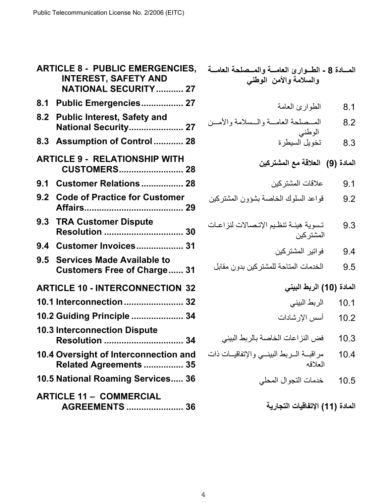| <b>ARTICLE 8 - PUBLIC EMERGENCIES,</b><br><b>INTEREST, SAFETY AND</b> |                                                                         |  |  |
|-----------------------------------------------------------------------|-------------------------------------------------------------------------|--|--|
|                                                                       | <b>NATIONAL SECURITY  27</b>                                            |  |  |
| 8.1                                                                   | Public Emergencies 27                                                   |  |  |
|                                                                       | 8.2 Public Interest, Safety and<br>National Security 27                 |  |  |
| 8.3                                                                   | Assumption of Control 28                                                |  |  |
|                                                                       | <b>ARTICLE 9 - RELATIONSHIP WITH</b><br><b>CUSTOMERS 28</b>             |  |  |
| 9.1                                                                   | <b>Customer Relations  28</b>                                           |  |  |
| 9.2                                                                   | <b>Code of Practice for Customer</b>                                    |  |  |
|                                                                       | 9.3 TRA Customer Dispute<br>Resolution  30                              |  |  |
| 9.4                                                                   | Customer Invoices 31                                                    |  |  |
| 9.5                                                                   | <b>Services Made Available to</b><br><b>Customers Free of Charge 31</b> |  |  |
|                                                                       | <b>ARTICLE 10 - INTERCONNECTION 32</b>                                  |  |  |
|                                                                       | 10.1 Interconnection  32                                                |  |  |
|                                                                       | 10.2 Guiding Principle  34                                              |  |  |
|                                                                       | <b>10.3 Interconnection Dispute</b><br><b>Resolution  34</b>            |  |  |
|                                                                       | 10.4 Oversight of Interconnection and<br>Related Agreements  35         |  |  |
|                                                                       | 10.5 National Roaming Services 36                                       |  |  |
|                                                                       | <b>ARTICLE 11 - COMMERCIAL</b><br><b>AGREEMENTS  36</b>                 |  |  |

| الطوارئ العامة                                       | 8.1    |
|------------------------------------------------------|--------|
| المسصلحة العامسة والسسلامة والأمسن                   | 8.2    |
| الوطني<br>تخويل السيطرة                              | 8.3    |
| المادة (9)   العلاقة مع المشتركين                    |        |
| علاقات المشتركين                                     | 9.1    |
| قواعد السلوك الخاصة بشؤون المشتركين                  | 9.2    |
| تسوية هيئـة تنظـيم الإتـصـالات لنزاعـات<br>المشتركين | 9.3    |
| فواتير المشتركين                                     | 9.4    |
| الخدمات المتاحة للمشتركين بدون مقابل                 | 9.5    |
| (10) الربط البيني                                    | المادة |
| الربط البينى                                         | 10.1   |
| أسس الإرشادات                                        | 10.2   |
| فض النز اعات الخاصة بالربط البيني                    | 10.3   |
| مراقبسة السربط البينسي والإتفاقيسات ذات<br>العلاقه   | 10.4   |
| خدمات التجوال المحلي                                 | 10.5   |
|                                                      |        |

**المادة (11) الإتفاقيات التجارية** 

المسادة 8 - الطسوارئ العامسة والمسصلحة العامسة **والسلامة والأمن الوطني**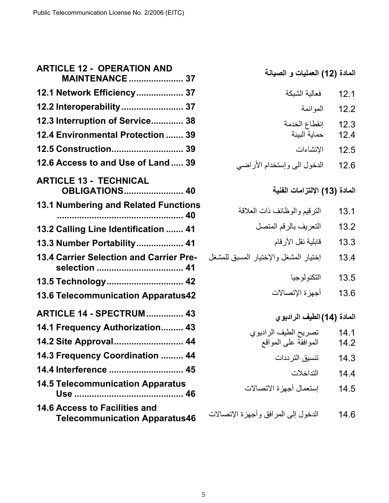| <b>ARTICLE 12 - OPERATION AND</b><br><b>MAINTENANCE  37</b>              |
|--------------------------------------------------------------------------|
| 12.1 Network Efficiency 37                                               |
| 12.2 Interoperability  37                                                |
| 12.3 Interruption of Service 38                                          |
| 12.4 Environmental Protection  39                                        |
| 12.5 Construction 39                                                     |
| 12.6 Access to and Use of Land 39                                        |
| <b>ARTICLE 13 - TECHNICAL</b><br><b>OBLIGATIONS 40</b>                   |
| <b>13.1 Numbering and Related Functions</b>                              |
|                                                                          |
| 13.2 Calling Line Identification  41                                     |
| 13.3 Number Portability 41                                               |
| 13.4 Carrier Selection and Carrier Pre-<br>selection  41                 |
| 13.5 Technology 42                                                       |
| 13.6 Telecommunication Apparatus42                                       |
| <b>ARTICLE 14 - SPECTRUM 43</b>                                          |
| 14.1 Frequency Authorization 43                                          |
| 14.2 Site Approval 44                                                    |
| 14.3 Frequency Coordination  44                                          |
| 14.4 Interference  45                                                    |
| <b>14.5 Telecommunication Apparatus</b><br><u>Use ……………………………………… 46</u> |
| 14.6 Access to Facilities and<br><b>Telecommunication Apparatus46</b>    |

| المادة (12) العمليات و الصيانة |  |  |  |
|--------------------------------|--|--|--|
|--------------------------------|--|--|--|

| فعالية الشبكة                 | 12.1 |
|-------------------------------|------|
|                               |      |
| الموائمة                      | 12.2 |
| إنقطاع الخدمة<br>حماية البيئة | 12.3 |
|                               | 12.4 |
| الإنشاءات                     | 12.5 |

12.6 الدخول الى وإستخدام الأراضي

# **المادة (13) الإلتزامات الفنية**

| الترقيم والوظائف ذات العلاقة                                   | 13.1 |
|----------------------------------------------------------------|------|
| التعريف بالرقم المتصل                                          | 13.2 |
| قابلية نقل الأرقام                                             | 13.3 |
| إختيار المشغل والإختيار المسبق للمشغل                          | 13.4 |
| التكنولوجيا                                                    | 13.5 |
| أجهزة الإتصالات                                                | 13.6 |
|                                                                |      |
|                                                                |      |
| المادة (14) الطيف الراديوي                                     |      |
|                                                                | 14.1 |
|                                                                | 14.2 |
| تصريح الطيف الراديوي<br>الموافقة على المواقع<br>تنسيق الترددات | 14.3 |
| التداخلات                                                      | 14.4 |

14.6 الدخول إلى المرافق وأجهزة الإتصالات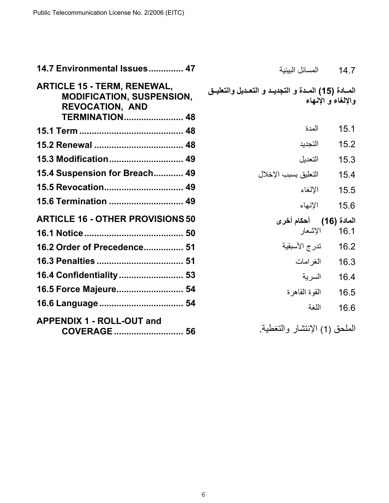| 14.7 Environmental Issues 47                                                                                              | المسائل البيئية<br>14.7                                                 |
|---------------------------------------------------------------------------------------------------------------------------|-------------------------------------------------------------------------|
| <b>ARTICLE 15 - TERM, RENEWAL,</b><br><b>MODIFICATION, SUSPENSION,</b><br><b>REVOCATION, AND</b><br><b>TERMINATION 48</b> | المسادة (15) المدة و التجديد و التعديل والتعليـق<br>والالغاء و الانبهاء |
|                                                                                                                           | المدة<br>15.1                                                           |
|                                                                                                                           | التجديد<br>15.2                                                         |
| 15.3 Modification 49                                                                                                      | التعديل<br>15.3                                                         |
| 15.4 Suspension for Breach 49                                                                                             | التعليق بسبب الإخلال<br>15.4                                            |
| 15.5 Revocation 49                                                                                                        | الإلغاء<br>15.5                                                         |
| 15.6 Termination  49                                                                                                      | الإنهاء<br>15.6                                                         |
| <b>ARTICLE 16 - OTHER PROVISIONS 50</b>                                                                                   | المادة (16) أحكام أخرى                                                  |
|                                                                                                                           | الإشعار<br>16.1                                                         |
| 16.2 Order of Precedence 51                                                                                               | تدرج الأسبقية<br>16.2                                                   |
|                                                                                                                           | المغر إمات<br>16.3                                                      |
| 16.4 Confidentiality  53                                                                                                  | السر ية<br>16.4                                                         |
| 16.5 Force Majeure 54                                                                                                     | القو ة القاهر ة<br>16.5                                                 |
|                                                                                                                           | اللغة<br>16.6                                                           |
| <b>APPENDIX 1 - ROLL-OUT and</b><br>COVERAGE  56                                                                          | الملحق (1) الإنتشار والتغطية                                            |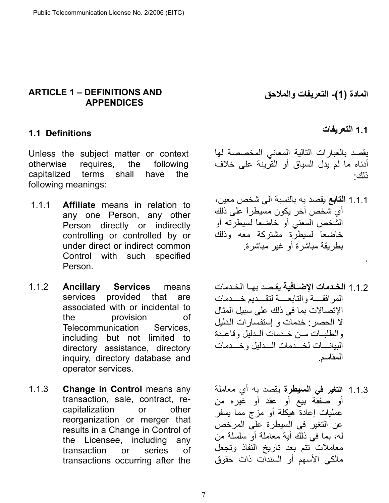### **ARTICLE 1 – DEFINITIONS AND APPENDICES**

## <span id="page-6-0"></span>**1.1 Definitions**

Unless the subject matter or context otherwise requires, the following capitalized terms shall have the following meanings:

- 1.1.1 **Affiliate** means in relation to any one Person, any other Person directly or indirectly controlling or controlled by or under direct or indirect common Control with such specified Person.
- 1.1.2 **Ancillary Services** means services provided that are associated with or incidental to the provision of Telecommunication Services, including but not limited to directory assistance, directory inquiry, directory database and operator services.
- 1.1.3 **Change in Control** means any transaction, sale, contract, recapitalization or other reorganization or merger that results in a Change in Control of the Licensee, including any transaction or series of transactions occurring after the

**المادة -)1( التعريفات والملاحق** 

## **1.1 التعريفات**

.

يقصد بالعبارات التالية المعاني المخصصة لها أدناه ما لم يدل السياق أو القرينة على خلاف ذلك :

- 1.1.1 **التابع** يقصد به بالنسبة الى شخص معين، أي شخص آخر يكون مسيطراً على ذلك الشخص المعني أو خاضعاً لسيطرته أو خاضعاً لسيطرة مشتركة معه وذلك بطريقة مباشرة أو غير مباشرة.
- 1.1.2 **الخدمات الإضـافية** يقصد بهـا الخـدمات المرافقه والتابعمة لتقسديم خسدمات الإتصالات بما في ذلك على سبيل المثال لا الحصر: خدمات و إستفسار ات الدليل والطلبات من خدمات المدليل وقاعدة البيانسات لخسدمات السدليل وخسدمات المقاسم .
- 1.1.3 **التغير في السيطرة** يقصد به أي معاملة أو صفقة بيع أو عقد أو غيره من عمليات إعادة هيكلة أو مزج مما يسفر عن التغير في السيطرة على المرخص له، بما في ذلك أية معاملة أو سلسلة من معاملات تتم بعد تاريخ النفاذ وتجعل مالكي الأسهم أو السندات ذات حقوق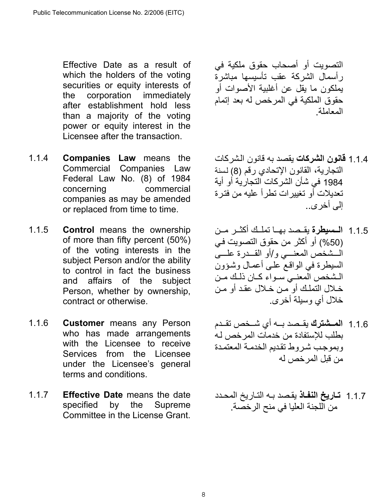Effective Date as a result of which the holders of the voting securities or equity interests of the corporation immediately after establishment hold less than a majority of the voting power or equity interest in the Licensee after the transaction.

- 1.1.4 **Companies Law** means the Commercial Companies Law Federal Law No. (8) of 1984 concerning commercial companies as may be amended or replaced from time to time.
- 1.1.5 **Control** means the ownership of more than fifty percent (50%) of the voting interests in the subject Person and/or the ability to control in fact the business and affairs of the subject Person, whether by ownership, contract or otherwise.
- 1.1.6 **Customer** means any Person who has made arrangements with the Licensee to receive Services from the Licensee under the Licensee's general terms and conditions.
- 1.1.7 **Effective Date** means the date specified by the Supreme Committee in the License Grant.

التصويت أو أصحاب حقوق ملكية في رأسمال الشرآة عقب تأسيسها مباشرة يملكون ما يقل عن أغلبية الأصوات أو حقوق الملكية في المرخص له بعد إتمام المعاملة.

- 1.1.4 **قانون الشركات** يقصد به قانون الشركات التجارية، القانون الإتحادي رقم (8) لسنة 1984 في شأن الشركات التجارية أو أية تعديلات أو تغييرات تطرأ عليه من فترة إلى أخرى ..
- 1.1.5 **الــسيطرة** يقــصد بهـا تملـك أكثــر مـن (50%) أو أكثر من حقوق التصويت في الْـــشخص المعنــــى و/أو القـــدرة علــــىّ السيطرة في الواقع علمى أعمال وشؤون المشخص المعنى سواء كان ذلك من خـلال التملـك أو مـن خـلال عقد أو مـن خلال أي وسيلة أخرى .
- 1.1.6 **المـشترك** يقـصد بــه أي شـخص تقـدم بطلب للإستفادة من خدمات المر خص لـه وبموجب شروط تقديم الخدمة المعتمدة من قبل المرخص له
- 1.1.7 **تѧاريخ النفѧاذ** يقѧصد بѧه التѧاريخ المحѧدد من اللجنة العليا في منح الرخصة .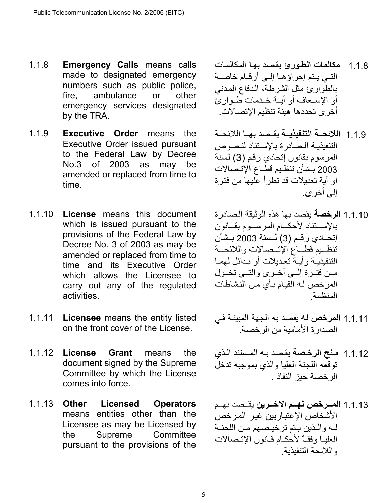- 1.1.8 **Emergency Calls** means calls made to designated emergency numbers such as public police, fire, ambulance or other emergency services designated by the TRA.
- 1.1.9 **Executive Order** means the Executive Order issued pursuant to the Federal Law by Decree No.3 of 2003 as may be amended or replaced from time to time.
- 1.1.10 **License** means this document which is issued pursuant to the provisions of the Federal Law by Decree No. 3 of 2003 as may be amended or replaced from time to time and its Executive Order which allows the Licensee to carry out any of the regulated activities.
- 1.1.11 **Licensee** means the entity listed on the front cover of the License.
- 1.1.12 **License Grant** means the document signed by the Supreme Committee by which the License comes into force.
- 1.1.13 **Other Licensed Operators** means entities other than the Licensee as may be Licensed by the Supreme Committee pursuant to the provisions of the
- 1.1.8 **مكالمات الطѧورئ** يقѧصد بهѧا المكالمѧات التسي يـتم إجراؤهـا إلـي أرقـام خاصـة بالطوارئ مثل الشرطة، الدفاع المدنبي أو الإسعاف أو أيــة خـدمات طـوارئ أخرى تحددها هيئة تنظيم الإتصالات .
- 1.1.9 **اللائحــة التنفيذيــة** بقـصد بهـا اللائحــة التنفيذيـة الـصادرة بالإستناد لنـصوص المرسوم بقانون إتحادي رقم (3) لسنة 2003 بشأن تنظيم قطـاع الإتـصالات او أية تعديلات قد تطرأ عليها من فترة إلى أخرى.
- 1.1.10 **الرخصة** يقصد بها هذه الوثيقة الѧصادرة بالإستناد لأحكام المرسوم بقانون إتحــادي رقـم (3) لــسنة 2003 بــشأن تنظميم قطاع الإتىصالات واللائحمة التنفيذيـة وأيــة تعـديلات أو بـدائل لهمـا مـن فتـرة إلــي أخـرى والتــي تخـول المرخص لـه القيـام بـأي من النشاطات المنظمة.
- 1.1.11 ا**لمرخص له** يقصد به الجهة المبينـة في الصدارة الأمامية من الرخصة .
- 1.1.12 **مѧنح الرخѧصة** يقѧصد بѧه المѧستند الѧذي توقعه اللجنة العليا والذي بموجبه تدخل الرخصة حيز النفاذ .
- 1.1.13 **المـــرخص لهــم الآخـــرين** بقــصد بهــم الأشخاص الإعتباريين غير المرخص لـه والـذين يـتم ترخيصهم مـن اللجنـة العليا وفقاً لأحكام قانون الإتصالات واللائحة التنفيذية .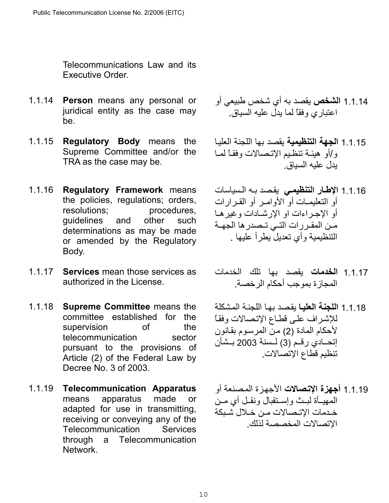Telecommunications Law and its Executive Order.

- 1.1.14 **Person** means any personal or juridical entity as the case may be.
- 1.1.15 **Regulatory Body** means the Supreme Committee and/or the TRA as the case may be.
- 1.1.16 **Regulatory Framework** means the policies, regulations; orders, resolutions; procedures, guidelines and other such determinations as may be made or amended by the Regulatory Body.
- 1.1.17 **Services** mean those services as authorized in the License.
- 1.1.18 **Supreme Committee** means the committee established for the supervision of the telecommunication sector pursuant to the provisions of Article (2) of the Federal Law by Decree No. 3 of 2003.
- 1.1.19 **Telecommunication Apparatus** means apparatus made or adapted for use in transmitting, receiving or conveying any of the Telecommunication Services through a Telecommunication Network.
- 1.1.14 **الشخص** يقصد به أي شخص طبيعي أو اعتباري وفقاً لما يدل عليه السياق .
- 1.1.15 **الجهة التنظيمية** يقصد بها اللجنة العليѧا و/أو هيئـة تنظيم الإتـصالات وفقـًا لمما يدل عليه السياق .
- 1.1.16 **الإطѧار التنظيمѧي** يقѧصد بѧه الѧسياسات أو التعليمـات أو الأوامـر أو القـرارات أو الإجراءات او الإر شادات و غير هـا مـن المقـررات التـي تـصدرها الجهــة التنظيمية وأي تعديل يطرأ عليها .
- 1.1.17 **الخدمات** يقصد بها تلك الخدمات المجازة بموجب أحكام الرخصة.
- 1.1.1 **اللجنة العلي**ا بقصد بها اللجنة المشكلة للإشراف على قطاع الإتصالات وفقاً لأحكام المادة (2) من المرسوم بقانون إتحــادي رقـم (3) لــسنة 2003 بــشأن تنظيم قطاع الإتصالات .
- 1.1.19 **أجهزة الإتѧصالات** الأجهѧزة المѧصنعة أو المهيأة لبيث وإستقبال ونقل أي مين خدمات الاتـصالات مـن خـلال شـبكة الإتصالات المخصصة لذلك .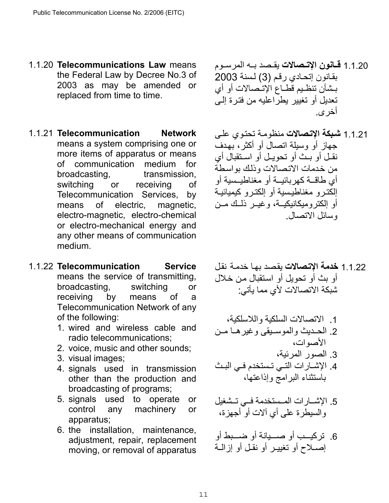- 1.1.20 **Telecommunications Law** means the Federal Law by Decree No.3 of 2003 as may be amended or replaced from time to time.
- 1.1.21 **Telecommunication Network** means a system comprising one or more items of apparatus or means of communication medium for broadcasting, transmission, switching or receiving of Telecommunication Services, by means of electric, magnetic, electro-magnetic, electro-chemical or electro-mechanical energy and any other means of communication medium.
- 1.1.22 **Telecommunication Service** means the service of transmitting, broadcasting, switching or receiving by means of a Telecommunication Network of any of the following:
	- 1. wired and wireless cable and radio telecommunications;
	- 2. voice, music and other sounds;
	- 3. visual images;
	- 4. signals used in transmission other than the production and broadcasting of programs;
	- 5. signals used to operate or control any machinery or apparatus;
	- 6. the installation, maintenance, adjustment, repair, replacement moving, or removal of apparatus
- 1.1.20 **قــانون الإتــصالات** يقـصد بــه المر سـوم بقانون إتحادي رقم (3) لسنة 2003 بشأن تنظيم قطـاع الإتـصـالات أو أي تعديل أو تغيير يطراعليه من فترة إلىي أخرى .
- 1.1.21 **شѧبكة الإتѧصالات** منظومѧة تحتѧوي علѧى جهاز أو وسيلة اتصال أو أكثر، بهدف نقل أو بث أو تحويل أو استقبال أي من خدمات الاتصالات وذلك بواسطة أي طاقــة كهربائيــة أو مغناطيــسية أو إلكترو مغناطيسية أو إلكترو كيميائية أو الكتروميكانيكيــة، وغيــر ذلــك مــن وسائل الاتصال .
- 1.1.22 **خدمة الإتѧصالات** يقѧصد بهѧا خدمѧة نقѧل أو بث أو تحويل أو استقبال من خلال شبكة الاتصالات لأي مما يأتي :
- .1 الاتصالات السلكية واللاسلكية، 2. الحديث والموسيقى وغيرها من الأصوات، .3 الصور المرئية،
- 4. الإشـارات التـى تـستخدم فـي البـث باستثناء البرامج وإذاعتها،
- 5. الإشسارات المستخدمة فسي تـشغيل والسيطرة على أي آلات أو أجهزة،
- 6. تركيسب أو صسيانة أو ضسبط أو إصلاح أو تغيير أو نقل أو إزالية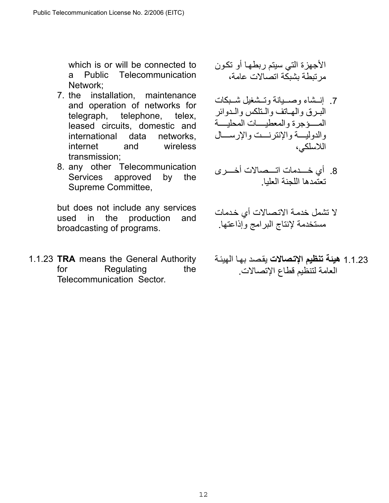which is or will be connected to a Public Telecommunication Network;

- 7. the installation, maintenance and operation of networks for telegraph, telephone, telex, leased circuits, domestic and international data networks, internet and wireless transmission;
- 8. any other Telecommunication Services approved by the Supreme Committee,

but does not include any services used in the production and broadcasting of programs.

1.1.23 **TRA** means the General Authority for Regulating the Telecommunication Sector.

الأجهزة التي سيتم ربطهѧا أو تكѧون مرتبطة بشبكة اتصالات عامة،

- 7 إن إنسشاء وصهيدانية وتستثنغيل شهيكات البرق والهاتف والتلكس والدوائر .<br>المسؤجرة والمعطيسات المحليسة والدوليسة والإنترنست والإرسسال اللاسلكي،
- 8. أي خسدمات اتـــصالات أخــــرى تعتمدها اللجنة العليا .
- لا تشمل خدمـة الاتـصـالات أي خـدمات مستخدمة لإنتاج البرامج وإذاعتها.
- 1.1.23 **هيئة تنظيم الإتصالات** يقصد بها الهيئة العامة لتنظيم قطاع الإتصالات .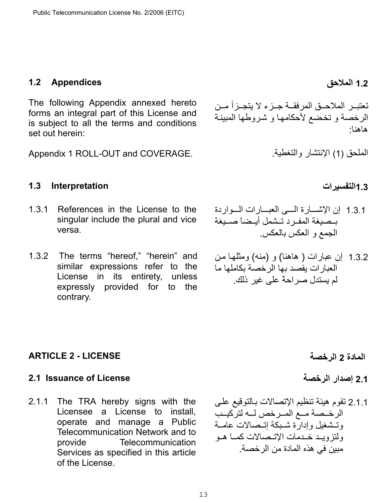## <span id="page-12-0"></span>**1.2 Appendices**

The following Appendix annexed hereto forms an integral part of this License and is subject to all the terms and conditions set out herein:

Appendix 1 ROLL-OUT and COVERAGE.

<span id="page-12-1"></span>**1.3التفسيرات Interpretation 1.3**

- 1.3.1 References in the License to the singular include the plural and vice versa.
- 1.3.2 The terms "hereof," "herein" and similar expressions refer to the License in its entirety, unless expressly provided for to the contrary.

تعتبـر الملاحـق المرفقــة جـزء لا يتجـزأ مـن الرخصة و تخضع لأحكامها و شروطها المبينة هاهنا :

الملحق (1) الإنتشار والتغطية.

- 1.3.1 إن الإشسارة المسي العبسارات السواردة بهصيغة المفرد تشمل أيهضا صبيغة الجمع و العكس بالعكس .
- 1.3.2 إن عبارات ( هاهنا) و (منه) ومثلها من العبارات يقصد بها الرخصة بكاملها ما لم يستدل صراحةً على غير ذلك.

- 
- 2.1.1 تقوم هيئة تنظيم الإتصالات بـالتوقيع على الرخـصـة مــع المــرخص لـــه لتركيــب وتشغيل وإدارة شبكة إتىصالات عامـة ولتز وبـد خـدمات الإتـصـالات كمـا هـو مبين في هذه المادة من الرخصة .

# <span id="page-12-2"></span>**المادة 2 الرخصة LICENSE - 2 ARTICLE**

# <span id="page-12-3"></span>**2.1 Issuance of License الرخصة إصدار 2.1**

2.1.1 The TRA hereby signs with the Licensee a License to install, operate and manage a Public Telecommunication Network and to provide Telecommunication Services as specified in this article of the License.

**1.2 الملاحق**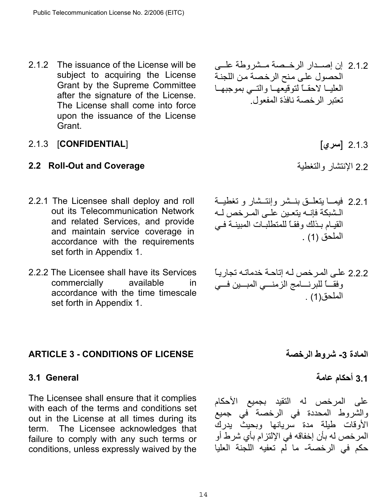2.1.2 The issuance of the License will be subject to acquiring the License Grant by the Supreme Committee after the signature of the License. The License shall come into force upon the issuance of the License Grant.

# 2.1.3 [ **سري** ] [**CONFIDENTIAL** [2.1.3

# <span id="page-13-0"></span>**2.2 Roll-Out and Coverage** والتغطية الإنتشار 2.2

- 2.2.1 The Licensee shall deploy and roll out its Telecommunication Network and related Services, and provide and maintain service coverage in accordance with the requirements set forth in Appendix 1.
- 2.2.2 The Licensee shall have its Services commercially available in accordance with the time timescale set forth in Appendix 1.

# <span id="page-13-1"></span>**ARTICLE 3 - CONDITIONS OF LICENSE الرخصة شروط -3 المادة**

# <span id="page-13-2"></span>**3.1 General**

The Licensee shall ensure that it complies with each of the terms and conditions set out in the License at all times during its term. The Licensee acknowledges that failure to comply with any such terms or conditions, unless expressly waived by the

2.1.2 إن إصدار الرخـصة مـشروطة علــى الحصول على منح الرخصة من اللجنة العليا لاحقاً لتوقيعها والتسي بموجبها تعتبر الرخصة نافذة المفعول.

- 2.2.1 فيمــا يتعلّــق بنــشر وإنتــشار و تغطيــة الـشبكة فإنــه يتعـين علــى المـرخص لــه القيام بدلك وفقـاً للمتطلبات المبينـة فـي الملحق (1) .
- 2.2.2 على المر خص لـه إتاحـة خدماتـه تجار يــًا وفقــاً للبرنـــامج الزمنـــي المبــين فــي الملحق(1) .

# **3.1 أحكام عامة**

على المرخص له التقيد بجميع الأحكام والشروط المحددة في الرخصة في جميع الأوقات طيلة مدة سريانها وبحيث يدرك المرخص له بأن إخفاقه في الإلتزام بأي شرط أو حكم في الرخصة- ما لم تعفيه اللجنة العليا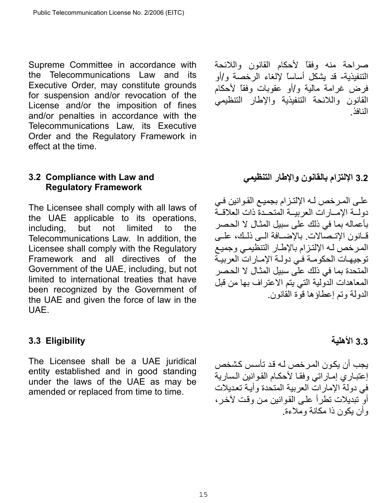Supreme Committee in accordance with the Telecommunications Law and its Executive Order, may constitute grounds for suspension and/or revocation of the License and/or the imposition of fines and/or penalties in accordance with the Telecommunications Law, its Executive Order and the Regulatory Framework in effect at the time.

## <span id="page-14-0"></span>**3.2 Compliance with Law and Regulatory Framework**

The Licensee shall comply with all laws of the UAE applicable to its operations, including, but not limited to the Telecommunications Law. In addition, the Licensee shall comply with the Regulatory Framework and all directives of the Government of the UAE, including, but not limited to international treaties that have been recognized by the Government of the UAE and given the force of law in the UAE.

## <span id="page-14-1"></span>**3.3 Eligibility**

The Licensee shall be a UAE juridical entity established and in good standing under the laws of the UAE as may be amended or replaced from time to time.

صراحة منه وفقاً لأحكام القانون واللائحة التنفيذية- قد يشكل أساساً لإلغاء الرخصة و/أو فرض غرامة مالية و/أو عقوبات وفقاً لأحكام القانون واللائحة التنفيذية والإطار التنظيمي النافذ .

# **3.2 الإلتزام بالقانون والإطار التنظيمي**

على المرخص لـه الإلتزام بجميع القوانين فـي دولمة الإمسار ات العربيسة المتحسدة ذات العلاقسة بأعماله بما في ذلك على سبيل المثـال لا الحصر قانون الإتىصالات. بالإضـافة الـي ذلـك، علـي المرخص لـه الإلتزام بالإطـار التنظيمي وجميع توجيهات الحكومـة في دولـة الإمـارات العربيـة المتحدة بما في ذلك على سبيل المثـال لا الحصر المعاهدات الدولية التي يتم الاعتراف بها من قبل الدولة وتم إعطاؤها قوة القانون.

# **3.3 الأهلية**

يجب أن يكون المر<sub>خ</sub>ص لـه قد تأسس كشخص إعتباري إماراتي وفقا لأحكام القوانين السارية في دولة الإمار ات العربية المتحدة وأبية تعديلات أو تبديلات تطر أ علي القو انين من و قت لآخر ، وأن يكون ذا مكانة وملاءة.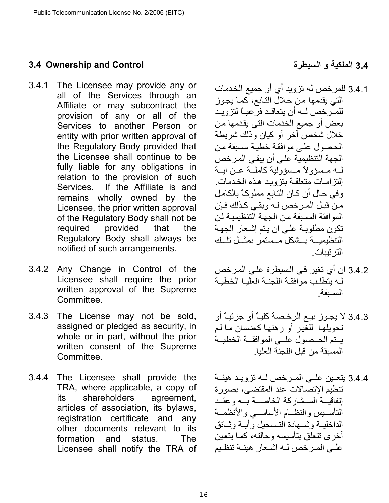# <span id="page-15-0"></span>**3.4 Ownership and Control**

- 3.4.1 The Licensee may provide any or all of the Services through an Affiliate or may subcontract the provision of any or all of the Services to another Person or entity with prior written approval of the Regulatory Body provided that the Licensee shall continue to be fully liable for any obligations in relation to the provision of such Services. If the Affiliate is and remains wholly owned by the Licensee, the prior written approval of the Regulatory Body shall not be required provided that the Regulatory Body shall always be notified of such arrangements.
- 3.4.2 Any Change in Control of the Licensee shall require the prior written approval of the Supreme Committee.
- 3.4.3 The License may not be sold, assigned or pledged as security, in whole or in part, without the prior written consent of the Supreme Committee.
- 3.4.4 The Licensee shall provide the TRA, where applicable, a copy of its shareholders agreement, articles of association, its bylaws, registration certificate and any other documents relevant to its formation and status. The Licensee shall notify the TRA of

**3.4 الملكية و السيطرة**

- 3.4.1 للمرخص له تزويد أي أو جميع الخدمات التي يقدمها من خلال التابع، كما يجوز للمـّرخص لــه أن يتعاقـد فرّعيــًا لتزويـد بعض أو جميع الخدمات التي يقدمها من خلال شخص آخر أو كيان وذلك شريطة الحصول على موافقة خطبة مسبقة من الجهة التنظيمية على أن يبقى المر خص لـه مـسؤولاً مـسؤولية كاملـة عـن ايــة إلتز امات متعلقة بتزويد هذه الخدمات. وفي حال أن كان التـابع مملوكـاً بالكامل من قبل المرخص لـه وبقـي كـذلك فـإن الموافقة المسبقة من الجهة التنظيمية لن تكون مطلوبـة علـى ان يتم إشعار الجهـة التنظيمية بسشكل مسستمر بمثل تلك الترتيبات .
- 3.4.2 إن أي تغير في السيطرة على المرخص له يتطلب موافقة اللجنـة العليـا الخطيـة المسبقة.
- 3.4.3 لا يجوز بيع الرخصة كليـًا أو جزئيـًا أو تحويلها للغير أو رهنها كضمان ما لم يتم الحصول علىي الموافقة الخطيبة المسبقة من قبل اللجنة العليا.
- 3.4.4 يتعـين علـي المـر خص لـه تزويـد هيئـة تنظيم الإتصالات عند المقتضى، بصورة إتفاقيسة المسشاركة الخاصسة بسه وعقد التأسيس والنظام الأساسبي والأنظمـة الداخليــة و شــهادة التـسجيل و أيــة و ثــائق أخرى تتعلق بتأسيسه وحالته، كمـا يتعين علـى المـرخص لــه إشـعار هيئــة تنظـيم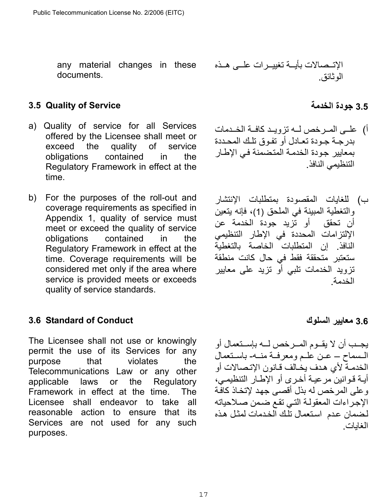any material changes in these documents.

# <span id="page-16-0"></span>**3.5 Quality of Service**

- a) Quality of service for all Services offered by the Licensee shall meet or exceed the quality of service obligations contained in the Regulatory Framework in effect at the time.
- b) For the purposes of the roll-out and coverage requirements as specified in Appendix 1, quality of service must meet or exceed the quality of service obligations contained in the Regulatory Framework in effect at the time. Coverage requirements will be considered met only if the area where service is provided meets or exceeds quality of service standards.

### <span id="page-16-1"></span>**3.6 Standard of Conduct**

The Licensee shall not use or knowingly permit the use of its Services for any purpose that violates the Telecommunications Law or any other applicable laws or the Regulatory Framework in effect at the time. The Licensee shall endeavor to take all reasonable action to ensure that its Services are not used for any such purposes.

الإتѧѧѧصالات بأيѧѧѧة تغييѧѧѧرات علѧѧѧى هѧѧѧذه الوثائق.

# **3.5 جودة الخدمة**

- أ) علــي المــرخص لــه تزويــد كافــة الخــدمات بدر جـة جـو دة تعـادل أو تفـوق تلـك المحـددة بمعايير جودة الخدمة المتضمنة في الإطار التنظيمي النافذ.
- ب) للغايات المقصودة بمتطلبات الإنتشار والتغطية المبينة في الملحق )1( ، فإنه يتعين أن تحقق أو تزيد جودة الخدمة عن الإلتزامات المحددة في الإطار التنظيمي النافذ. إن المتطلبات الخاصة بالتغطية ستعتبر متحققة فقط في حال كانت منطقة تزويد الخدمات تلبي أو تزيد على معايير الخدمة.

## **3.6 معايير السلوك**

يجـب أن لا يقـوم المـرخص لـه بإسـنعمال أو المسماح – عـن علـم ومعرفـة منـه- باسـتعمال الخدمـة لأي هـدف يخـالف قـانون الإتـصـالات أو أيـة قـوانين مرعيـة أخـرى أو الإطـار التنظيمـي، وعلى المرخص له بذل أقصى جهد لإتخاذ كافّة الإجراءات المعقولة التي تقع ضمن صلاحياته لضمان عدم استعمال تلك الخدمات لمثل هذه الغايات.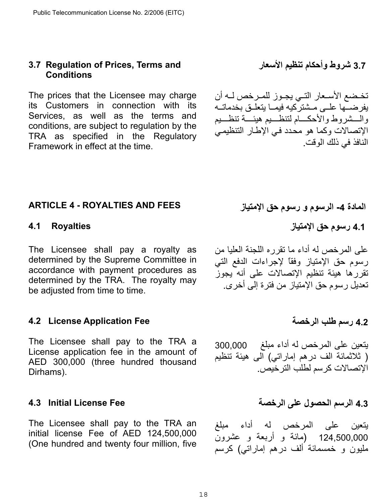### <span id="page-17-0"></span>**3.7 Regulation of Prices, Terms and Conditions**

The prices that the Licensee may charge its Customers in connection with its Services, as well as the terms and conditions, are subject to regulation by the TRA as specified in the Regulatory Framework in effect at the time.

**3.7 شروط وأحكام تنظيم الأسعار** 

تخضع الأسعار التي يجـوز للمـرخص لـه أن يفرضــها علــى مــشتركيه فيمــا يتعلــق بخدماتــه والسشروط والأحكسام لتنظسيم هيئسة تنظسيم الإتصالات وكما هو محدد في الإطار التنظيمي النافذ في ذلك الوقت.

# <span id="page-17-1"></span>**المادة -4 الرسوم و رسوم حق الإمتياز FEES AND ROYALTIES - 4 ARTICLE**

The Licensee shall pay a royalty as determined by the Supreme Committee in accordance with payment procedures as determined by the TRA. The royalty may be adjusted from time to time.

### <span id="page-17-3"></span>**4.2 License Application Fee**

The Licensee shall pay to the TRA a License application fee in the amount of AED 300,000 (three hundred thousand Dirhams).

### <span id="page-17-4"></span>**4.3 Initial License Fee**

The Licensee shall pay to the TRA an initial license Fee of AED 124,500,000 (One hundred and twenty four million, five

<span id="page-17-2"></span>**4.1 رسوم حق الإمتياز Royalties 4.1**

على المرخص له أداء ما تقرره اللجنة العليا من رسوم حق الإمتياز وفقاً لإجراءات الدفع التي تقررها هيئة تنظيم الإتصالات على أنه يجوز تعديل رسوم حق الإمتياز من فترة إلى أخرى.

## **4.2 رسم طلب الرخصة**

يتعين على المرخص له أداء مبلغ 300,000 ( ثلاثمائة الف درهم إماراتي) الى هيئة تنظيم الإتصالات كر سم لطلب التر خيص.

**4.3 الرسم الحصول على الرخصة**

يتعين على المرخص له أداء مبلغ 124,500,000 (مائة و أربعة و عشرون مليون و خمسمائة ألف درهم إماراتي) آرسم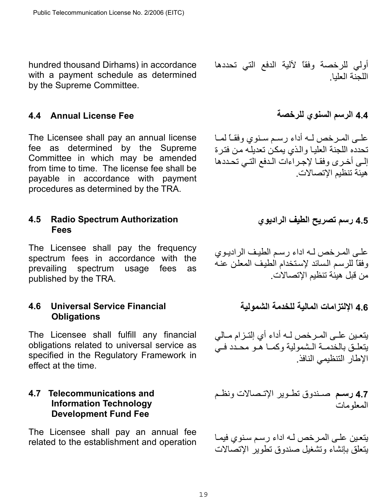hundred thousand Dirhams) in accordance with a payment schedule as determined by the Supreme Committee.

أولي للرخصة وفقاً لآلية الدفع التي تحددها اللجنة العليا.

## <span id="page-18-0"></span>**4.4 الرسم السنوي للرخصة Fee License Annual 4.4**

The Licensee shall pay an annual license fee as determined by the Supreme Committee in which may be amended from time to time. The license fee shall be payable in accordance with payment procedures as determined by the TRA.

### <span id="page-18-1"></span>**4.5 Radio Spectrum Authorization Fees**

The Licensee shall pay the frequency spectrum fees in accordance with the prevailing spectrum usage fees as published by the TRA.

## <span id="page-18-2"></span>**4.6 Universal Service Financial Obligations**

The Licensee shall fulfill any financial obligations related to universal service as specified in the Regulatory Framework in effect at the time.

## <span id="page-18-3"></span>**4.7 Telecommunications and Information Technology Development Fund Fee**

The Licensee shall pay an annual fee related to the establishment and operation

علمي المرخص لـه أداء رسم سنوي وفقـًا لمـا تحدده اللجنة العليا والذي يمكن تعديله من فترة إلى أخرى وفقا لإجراءات الدفع التي تحددها هيئة تنظيم الإتصالات.

**4.5 رسم تصريح الطيف الراديوي** 

على المرخص لـه اداء رسم الطيف الراديوي وفقاً للرسم السائد لإستخدام الطيف المعلن عنه من قبل هيئة تنظيم الإتصالات.

**4.6 الإلتزامات المالية للخدمة الشمولية**

يتعين علـى المـرخص لـه أداء أي إلتـزام مـالي يتعلـق بالخدمـة الـشمولية وكمـا هـو محـدد فـي الإطار التنظيمي النافذ.

**4.7 رسѧѧم** صѧѧندوق تطѧѧوير الإتѧѧصالات ونظѧѧم المعلومات

يتعين على المرخص لـه اداء رسم سنوي فيمـا يتعلق بإنشاء وتشغيل صندوق تطوير الإتصالات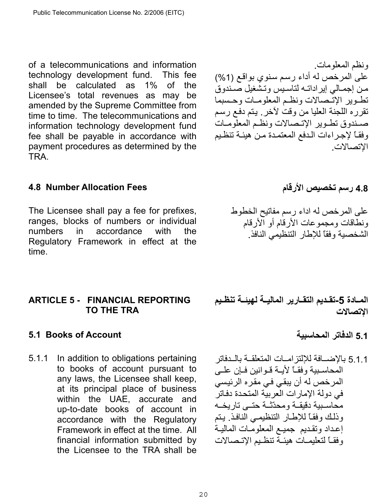of a telecommunications and information technology development fund. This fee shall be calculated as 1% of the Licensee's total revenues as may be amended by the Supreme Committee from time to time. The telecommunications and information technology development fund fee shall be payable in accordance with payment procedures as determined by the TRA.

# <span id="page-19-0"></span>**4.8 رسم تخصيص الأرقام Fees Allocation Number 4.8**

The Licensee shall pay a fee for prefixes, ranges, blocks of numbers or individual numbers in accordance with the Regulatory Framework in effect at the time.

## <span id="page-19-1"></span>**ARTICLE 5 - FINANCIAL REPORTING TO THE TRA**

# <span id="page-19-2"></span>**5.1 Books of Account المحاسبية الدفاتر 5.1**

5.1.1 In addition to obligations pertaining to books of account pursuant to any laws, the Licensee shall keep, at its principal place of business within the UAE, accurate and up-to-date books of account in accordance with the Regulatory Framework in effect at the time. All financial information submitted by the Licensee to the TRA shall be

ونظم المعلومات . على المرخص له أداء رسم سنوي بواقع (1%) من إجمالي إيراداته لتاسيس وتشغيل صندوق تطوير الإتّصالات ونظم المعلومات وحسبما تقر ر ه اللجنة العليا من وقت لآخر . يتم دفع رسم صندوق تطـوير الإتـصالات ونظـم المعلومـات وفقاً لإجراءات الدفع المعتمدة من هيئة تنظيم الإتصالات.

على المرخص له اداء رسم مفاتيح الخطوط ونطاقات ومجموعات الأرقام أو الأرقام الشخصية وفقاً للإطار التنظيمي النافذ .

المــادة 5-تقـديم التقــارير الماليــة لـهيئــة تنظـيم **الإتصالات** 

5.1.1 بالإضسافة للإلتزامسات المتعلقــة بالــدفاتر المحاسبية وفقاً لأيبة قـوانين فيان علمي المرخص له أن يبقي في مقره الرئيسي في دولة الإمارات العربية المتحدة دفاتر محاسبية دقيقـة ومحدّثـة حتبي تاريخـه وذلك وفقاً للإطار التنظيمي النافذ. يتم إعداد وتقديم جميع المعلومات المالية وفقـاً لتعليمـات هيئـة تنظـيم الإتـصـالات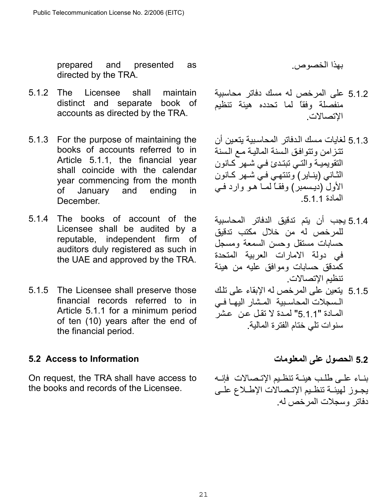prepared and presented as directed by the TRA.

- 5.1.2 The Licensee shall maintain distinct and separate book of accounts as directed by the TRA.
- 5.1.3 For the purpose of maintaining the books of accounts referred to in Article 5.1.1, the financial year shall coincide with the calendar year commencing from the month of January and ending in December.
- 5.1.4 The books of account of the Licensee shall be audited by a reputable, independent firm of auditors duly registered as such in the UAE and approved by the TRA.
- 5.1.5 The Licensee shall preserve those financial records referred to in Article 5.1.1 for a minimum period of ten (10) years after the end of the financial period.

# <span id="page-20-0"></span>**5.2 الحصول على المعلومات Information to Access 5.2**

On request, the TRA shall have access to the books and records of the Licensee.

بهذا الخصوص .

- 5.1.2 على المرخص له مسك دفاتر محاسبية منفصلة وفقاً لما تحدده هيئة تنظيم الإتصالات .
- 5.1.3 لغايات مسك الدفاتر المحاسبية يتعين أن تتزامن وتتوافق السنة المالية مع السنة التقويميـة والتـي تبتدئ فـي شـهر كـانون الثاني (ينـاير ) وتنتهـي فـي شـهر كـانون الأول (ديسمبر) وفقـاً لمماً هـو وارد فـي المادة 1 1 5
- 5.1.4 يجب أن يتم تدقيق الدفاتر المحاسبية للمرخص له من خلال مكتب تدقيق حسابات مستقل وحسن السمعة ومسجل في دولة الامارات العربية المتحدة آمدقق حسابات وموافق عليه من هيئة تنظيم الإتصالات .
- 5.1.5 يتعين على المرخص له الإبقاء على تلك السجلات المحاسبية المشار اليها في المادة "5.1.1" لمدة لا تقل عن عشر سنوات تلي ختام الفترة المالية.

بناء على طلب هيئـة تنظيم الإتـصالات فإنـه يجـوز لهيئـة تنظـيم الإتـصالات الإطـلاع علـي دفاتر وسجلات المرخص له.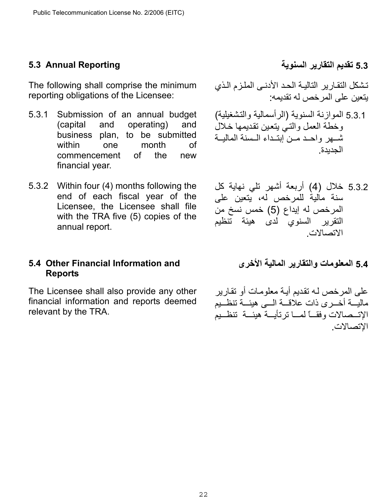## <span id="page-21-0"></span>**5.3 تقديم التقارير السنوية Reporting Annual 5.3**

The following shall comprise the minimum reporting obligations of the Licensee:

- 5.3.1 Submission of an annual budget (capital and operating) and business plan, to be submitted within one month of commencement of the new financial year.
- 5.3.2 Within four (4) months following the end of each fiscal year of the Licensee, the Licensee shall file with the TRA five (5) copies of the annual report.

## <span id="page-21-1"></span>**5.4 Other Financial Information and Reports**

The Licensee shall also provide any other financial information and reports deemed relevant by the TRA.

تشكل التقارير التالية الحد الأدنى الملزم الذي يتعين على المرخص له تقديمه:

- 5.3.1 الموازنة السنوية (الرأسمالية والتѧشغيلية) وخطة العمل والتبي يتعين تقديمها خلال شهر واحد مـن ابتـداء الـسنة الماليــة الجديدة .
- 5.3.2 خلال (4) أربعة أشهر تلي نهاية كل سنة مالية للمرخص له، يتعين على المرخص له إيداع (5) خمس نسخ من التقرير السنوي لدى هيئة تنظيم الاتصالات .
	- **5.4 المعلومات والتقارير المالية الأخرى**

على المرخص لـه تقديم أيـة معلومـات أو تقارير ماليسة أخسرى ذات علاقسة السي هيئسة تنظسيم الإتــصالات وفقـــاً لمسـا ترتأيـــة هيئـــة تنظــيم الإتصالات.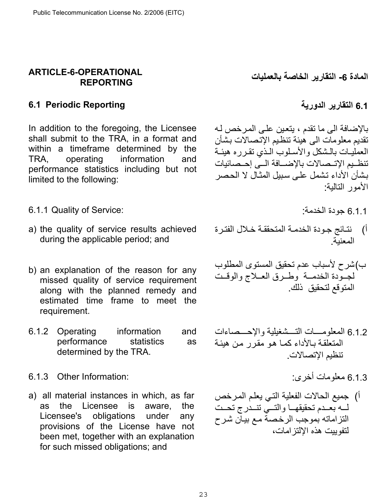## <span id="page-22-0"></span>**ARTICLE-6-OPERATIONAL REPORTING**

## <span id="page-22-1"></span>**6.1 التقارير الدورية Reporting Periodic 6.1**

In addition to the foregoing, the Licensee shall submit to the TRA, in a format and within a timeframe determined by the TRA, operating information and performance statistics including but not limited to the following:

- 6.1.1 Quality of Service:
- a) the quality of service results achieved during the applicable period; and
- b) an explanation of the reason for any missed quality of service requirement along with the planned remedy and estimated time frame to meet the requirement.
- 6.1.2 Operating information and performance statistics as determined by the TRA.
- 6.1.3 معلومات أخرى : :Information Other 6.1.3
- a) all material instances in which, as far as the Licensee is aware, the Licensee's obligations under any provisions of the License have not been met, together with an explanation for such missed obligations; and

**المادة -6 التقارير الخاصة بالعمليات** 

بالإضافة الى ما تقدم ، يتعين على المرخص لـه تقديم معلومات الى هيئة تنظيم الإتصالات بشأن العمليـات بالـشكل والأسـلوب الـذي تقـرره هيئـة تنظـيم الإتــصالات بالإضـــافة الــي إحــصائيات بشأن الأداء تشمل على سبيل المثال لا الحصر الأمور التالية:

- أ) نتائج جودة الخدمـة المتحققـة خـلال الفتـرة المعنية.
- ) ب شرح لأسباب عدم تحقيق المستوى المطلوب لجـودة الخدمـة وطـرق العـلاج والوقـت المتوقع لتحقيق ذلك .
- 6.1.2 المعلومسات التسشغيلية والإحسصاءات المتعلقة بالأداء كما هو مقرر من هيئة تنظيم الإتصالات.
	-
- أ) جميع الحالات الفعلية التي يعلم المرخص لــه بعـدم تحقيقهــا والتــى تتــدرج تحـت التزاماته بموجب الرخصة مع بيان شرح لتفوييت هذه الإلتزامات،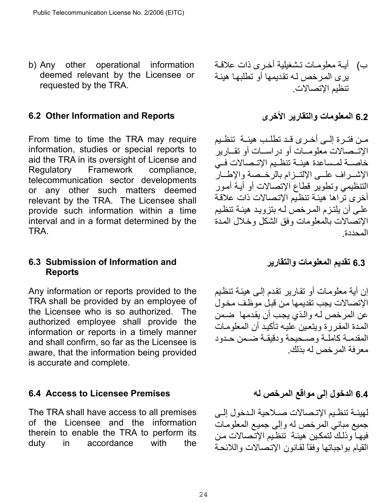b) Any other operational information deemed relevant by the Licensee or requested by the TRA.

## <span id="page-23-0"></span>**6.2 Other Information and Reports الأخرى والتقارير المعلومات 6.2**

From time to time the TRA may require information, studies or special reports to aid the TRA in its oversight of License and Regulatory Framework compliance, telecommunication sector developments or any other such matters deemed relevant by the TRA. The Licensee shall provide such information within a time interval and in a format determined by the TRA.

## <span id="page-23-1"></span>**6.3 Submission of Information and Reports**

Any information or reports provided to the TRA shall be provided by an employee of the Licensee who is so authorized. The authorized employee shall provide the information or reports in a timely manner and shall confirm, so far as the Licensee is aware, that the information being provided is accurate and complete.

## <span id="page-23-2"></span>**6.4 الدخول إلى مواقع المرخص له Premises Licensee to Access 6.4**

The TRA shall have access to all premises of the Licensee and the information therein to enable the TRA to perform its duty in accordance with the ب) أبية معلوميات تشغيلية أخرى ذات علاقية ير ي المر خص لـه تقديمها أو تطلبها هيئـة تنظيم الإتصالات .

من فتـر ة إلـي أخـرى قـد تطلـب هيئـة تنظـيم الإتــصالات معلومـــات أو در اســـات أو تقـــارير خاصسة لمساعدة هيئــة تنظـيم الإتــصالات فــي الإشىراف علىي الإلتىزام بالرخىصة والإطسار التنظيمي وتطوير قطاع الإتصالات أو أيѧة أمѧور أخرى تراها هيئة تنظيم الإتصالات ذات علاقة على أن يلتزم المرخص لـه بتزويد هيئـة تنظيم الإتصالات بالمعلومات وفق الشكل وخلال المدة المحددة.

**6.3 تقديم المعلومات والتقارير** 

إن أية معلومـات أو تقارير تقدم إلـى هيئـة تنظيم الإتصالات يجب تقديمها من قبل موظف مخول عن المر خص لـه و الذي يجب أن يقدمها ٍ ضمن المدة المقررة ويتعين عليه تأكيد أن المعلومات المقدمـة كاملـة وصـحيحة ودقيقـة ضـمن حـدود معرفة المرخص له بذلك.

لهيئـة تنظـيم الإتـصالات صـلاحية الـدخول إلـي جميع مباني المرخص له وإلى جميع المعلومات فيها وذلك لتمكين هيئة تنظيم الإتصالات من القيام بو اجباتها و فقاً لقانون الإتصالات و اللائحة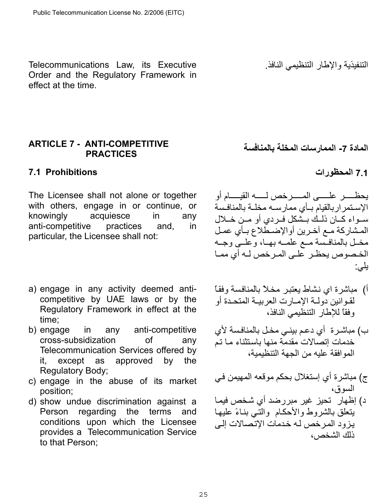Telecommunications Law, its Executive Order and the Regulatory Framework in effect at the time.

### <span id="page-24-0"></span>**ARTICLE 7 - ANTI-COMPETITIVE PRACTICES**

## <span id="page-24-1"></span>**7.1 المحظورات Prohibitions 7.1**

The Licensee shall not alone or together with others, engage in or continue, or knowingly acquiesce in any anti-competitive practices and, in particular, the Licensee shall not:

- a) engage in any activity deemed anticompetitive by UAE laws or by the Regulatory Framework in effect at the time;
- b) engage in any anti-competitive cross-subsidization of any Telecommunication Services offered by it, except as approved by the Regulatory Body;
- c) engage in the abuse of its market position;
- d) show undue discrimination against a Person regarding the terms and conditions upon which the Licensee provides a Telecommunication Service to that Person;

التنفيذية والإطار التنظيمي النافذ .

**المادة -7 الممارسات المخلة بالمنافسة** 

يحظѧѧѧѧѧѧѧѧر علѧѧѧѧѧѧѧѧى المѧѧѧѧѧѧѧѧرخص لѧѧѧѧѧѧѧѧه القيѧѧѧѧѧѧѧѧام أو الإستمراربالقيام بأي ممارسه مخلة بالمنافسة سُـواء كـان ذلـك بـشكل فـردي أو مـن خـلال المشاركة مع أخرين أوالإضطلاع بـأي عمـل مخـل بالمنافسة مـع علمـه بهـا، وعلــي وجـه الخـصوص يحظـر علـي المـرخص لـه أي ممـا يلي:

- أ) ً مباشرة اي نشاط يعتبر مخلاً بالمنافسة وفقاً لقـوانين دولـة الإمـارت العربيـة المتحـدة أو وفقاً للإطار التنظيمي النافذ،
- ب) مباشـرة أي دعم بينـي مخـل بالمنافسة لأي خدمات إتصالات مقدمة منها باستثناء ما تم الموافقة عليه من الجهة التنظيمية،
- ج) مباشرة أي إستغلال بحكم موقعه المهيمن في السوق،
- د) إظهار تحيز غير مبررضد أي شخص فيما يتعلق بالشروط والأحكام والتسي بنـاءً عليها يزود المرخص له خدمات الإتصالات إلى ذلك الشخص،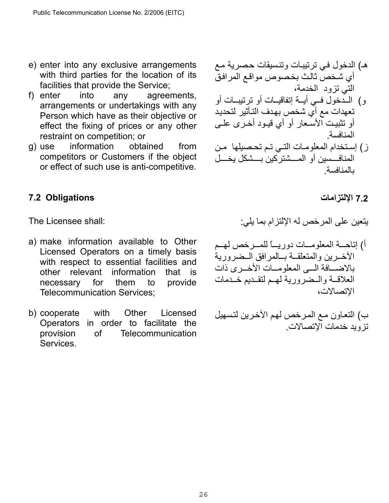- e) enter into any exclusive arrangements with third parties for the location of its facilities that provide the Service;
- f) enter into any agreements, arrangements or undertakings with any Person which have as their objective or effect the fixing of prices or any other restraint on competition; or
- g) use information obtained from competitors or Customers if the object or effect of such use is anti-competitive.

# <span id="page-25-0"></span>**7.2 الإلتزامات Obligations 7.2**

The Licensee shall:

- a) make information available to Other Licensed Operators on a timely basis with respect to essential facilities and other relevant information that is necessary for them to provide Telecommunication Services;
- b) cooperate with Other Licensed Operators in order to facilitate the provision of Telecommunication Services.
- هـ) الدخول فـي ترتيبـات وتنسيقات حصرية مـع أي شخص ثالث بخصوص مواقع المرافق التي تزود الخدمة،
- و) المدخول فمي أيسة إتفاقيات أو ترتيبات أو تعهدات مع أي شخص بهدف التـأثير لتحديد أو تثبيت الأسعار أو أي قيـود أخـرى علـى المنافسة .
- ز) إستخدام المعلومات التبي تم تحصيلها من المنافسسين أو المسشتر كين بسشكل يخسل بالمنافسة.

يتعين على المرخص له الإلتزام بما يلي:

أ) إتاحـــة المعلومـــات دوريـــاً للمـــرخص لهــم الأخـرين والمتعلقـة بـالمرافق الـضرورية بالاضسافة السي المعلومسات الأخسري ذات العلاقمة والمضرورية لهم لتقديم خدمات الإتصالات،

ب) التعاون مع المرخص لهم الآخرين لتسهيل تزويد خدمات الإتصالات .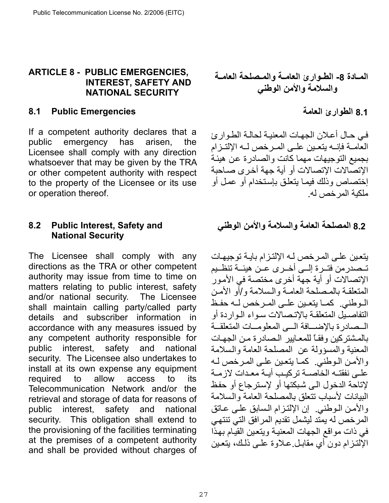## <span id="page-26-0"></span>**ARTICLE 8 - PUBLIC EMERGENCIES, INTEREST, SAFETY AND NATIONAL SECURITY**

## <span id="page-26-1"></span>**8.1 Public Emergencies**

If a competent authority declares that a public emergency has arisen, the Licensee shall comply with any direction whatsoever that may be given by the TRA or other competent authority with respect to the property of the Licensee or its use or operation thereof.

## <span id="page-26-2"></span>**8.2 Public Interest, Safety and National Security**

The Licensee shall comply with any directions as the TRA or other competent authority may issue from time to time on matters relating to public interest, safety and/or national security. The Licensee shall maintain calling party/called party details and subscriber information in accordance with any measures issued by any competent authority responsible for public interest, safety and national security. The Licensee also undertakes to install at its own expense any equipment required to allow access to its Telecommunication Network and/or the retrieval and storage of data for reasons of public interest, safety and national security. This obligation shall extend to the provisioning of the facilities terminating at the premises of a competent authority and shall be provided without charges of

**المѧѧادة -8 الطѧѧوارئ العامѧѧة والمѧѧصلحة العامѧѧة والسلامة والأمن الوطني** 

**8.1 الطوارئ العامة** 

في حال أعلان الجهات المعنيـة لحالـة الطـوارئ العَامـة فإنــه بتعـبن علــى المـر خص لــه الإلتـز ام بجميع التوجيهات مهما كانت والصادرة عن هيئة الإتصالات الإتصالات أو أية جهة أخرى صـاحبة إختصاص وذلك فيما يتعلق بإستخدام أو عمل أو ملكية المرخص له.

# **8.2 المصلحة العامة والسلامة والأمن الوطني**

يتعين على المرخص لـه الإلتزام بايـة توجيهـات تـصدرمن فتـرة إلــي أخـرى عـن هيئــة تنظـيم الإتصالات أو أية جهة أخرى مختصة في الأمѧور المتعلقة بالمصلحة العامة والسلامة و/أو الأمن الموطني. كما يتعين على المرخص لـه حفظ التفاصيل المتعلقة بالإتصالات سواء الواردة أو السصادرة بالإضسافة السي المعلومسات المتعلقة بالمشتركين وفقاً للمعايير الصادرة من الجهات المعنية والمسؤولة عن المصلحة العامة والѧسلامة والأمن الـوطني. كما يتعين علـى المرخص لـه على نفقتـه الخاصــة تركيب أيـة معدات لازمـة لإتاحة الدخول الـى شبكتها أو لإسترجاع أو حفظ البيانات لأسباب تتعلق بالمصلحة العامة والѧسلامة والأمن الـوطني. إن الإلتـزام الـسابق علـى عـاتق المرخص له يمتد ليشمل تقديم المرافق التي تنتهي في ذات مواقع الجهات المعنية ويتعين القيام بهذا الإلتـزام دون أي مقابـل عـلاوة علـي ذلـك، يتعـين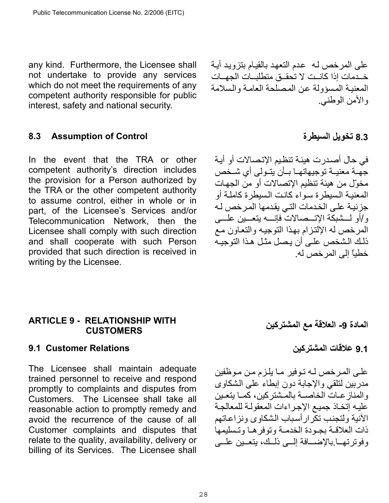any kind. Furthermore, the Licensee shall not undertake to provide any services which do not meet the requirements of any competent authority responsible for public interest, safety and national security.

<span id="page-27-0"></span>**8.3 Assumption of Control السيطرة تخويل 8.3**

In the event that the TRA or other competent authority's direction includes the provision for a Person authorized by the TRA or the other competent authority to assume control, either in whole or in part, of the Licensee's Services and/or Telecommunication Network, then the Licensee shall comply with such direction and shall cooperate with such Person provided that such direction is received in writing by the Licensee.

## <span id="page-27-1"></span>**ARTICLE 9 - RELATIONSHIP WITH CUSTOMERS**

## <span id="page-27-2"></span>**9.1 Customer Relations**

The Licensee shall maintain adequate trained personnel to receive and respond promptly to complaints and disputes from Customers. The Licensee shall take all reasonable action to promptly remedy and avoid the recurrence of the cause of all Customer complaints and disputes that relate to the quality, availability, delivery or billing of its Services. The Licensee shall

28

على المرخص لـه عدم التعهد بالقيـام بتزويد أيـة خـدمات إذا كانــت لا تحقــق متطلبــات الجهــات المعنية المسؤولة عن المصلحة العامة والسلامة والأمن الوطني.

في حال أصدرت هيئـة تنظيم الإتصـالات أو أيـة جهـة معنيــة توجيهاتهـا بــأن يتـولى أي شـخص مخوّل من هيئة تنظيم الإتصالات أو من الجهات المعنيـة الـسيطرة سـواء كـانـت الـسيطرة كـاملـة أو جزئية على الخدمات التي يقدمها المرخص لـه و/أو لـــشبكة الإتـــصالات فإنــــه يتعـــين علــــى المرخص له الإلتزام بهذا التوجيه والتعاون مع ذلك الشخص على أن يصل مثل هذا التوجيه خطياً إلى المرخص له .

**المادة -9 العلاقة مع المشترآين** 

**9.1 علاقات المشترآين**

على المرخص لـه تـوفير مـا يلـزم مـن مـوظفين مدربين لتلقي والإجابة دون إبطاء على الѧشكاوى والمناز عـات الخاصــة بالمـشتر كين، كمـا يتعـين عليه إتخاذ جميع الإجراءات المعقولة للمعالجة الآنية ولتجنب تكرار أسباب الشكاوى ونزاعاتهم ذات العلاقـة بجـودة الخدمـة وتوفر هـا وتـسليمها وفوترتها.بالإضافة إلسي ذلّك، يتعين علمي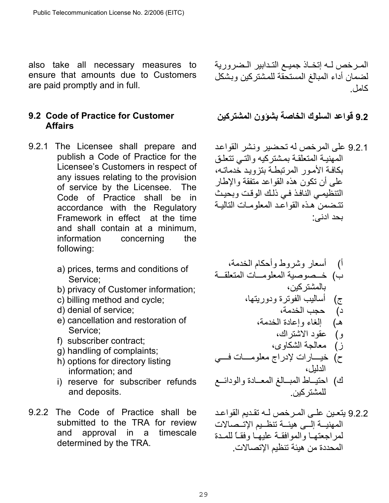also take all necessary measures to ensure that amounts due to Customers are paid promptly and in full.

## <span id="page-28-0"></span>**9.2 Code of Practice for Customer Affairs**

- 9.2.1 The Licensee shall prepare and publish a Code of Practice for the Licensee's Customers in respect of any issues relating to the provision of service by the Licensee. The Code of Practice shall be in accordance with the Regulatory Framework in effect at the time and shall contain at a minimum, information concerning the following:
	- a) prices, terms and conditions of Service;
	- b) privacy of Customer information;
	- c) billing method and cycle;
	- d) denial of service;
	- e) cancellation and restoration of Service;
	- f) subscriber contract;
	- g) handling of complaints;
	- h) options for directory listing information; and
	- i) reserve for subscriber refunds and deposits.
- 9.2.2 The Code of Practice shall be submitted to the TRA for review and approval in a timescale determined by the TRA.

المرخص لـه إتخـاذ جميـع التـدابير الـضرورية لضمان أداء المبالغ المستحقة للمشتركين وبشكل كامل ،

**9.2 قواعد السلوك الخاصة بشؤون المشترآين** 

9.2.1 على المرخص له تحضير ونشر القواعد المهنية المتعلقة بمشتركيه والتي تتعلق بكافة الأمور المرتبطة بتزويد خدماتـه، على أن تكون هذه القواعد متفقة والإطار التنظيمي النافذ في ذلك الوقت وبحيث تتضمن هذه القواعد المعلومات التاليـة بحد ادنى :

أ) أسعار وشروط وأحكام الخدمة، ب) خѧѧѧѧѧصوصية المعلومѧѧѧѧѧات المتعلقѧѧѧѧѧة بالمشترآين، ج) أساليب الفوترة ودوريتها، د) حجب الخدمة، ـه ) إلغاء وإعادة الخدمة، و) عقود الاشتراك، ز) معالجة الشكاوى، ح) خيѧѧѧѧѧѧارات لإدراج معلومѧѧѧѧѧѧات فѧѧѧѧѧѧي الدليل، ك) احتيѧѧѧاط المبѧѧѧالغ المعѧѧѧادة والودائѧѧѧع للمشترآين .

9.2.2 يتعين على المرخص لـه تقديم القواعد المهنيــة إلــى هيئــة تنظــيم الإتــصـالات لمر اجعتهـا والموافقـة عليهـا وفقـاً للمـدة المحددة من هيئة تنظيم الإتصالات .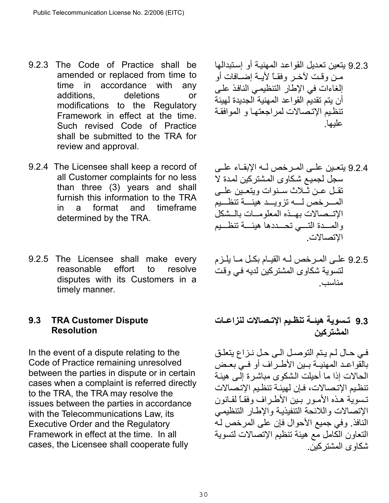- 9.2.3 The Code of Practice shall be amended or replaced from time to time in accordance with any additions, deletions or modifications to the Regulatory Framework in effect at the time. Such revised Code of Practice shall be submitted to the TRA for review and approval.
- 9.2.4 The Licensee shall keep a record of all Customer complaints for no less than three (3) years and shall furnish this information to the TRA in a format and timeframe determined by the TRA.
- 9.2.5 The Licensee shall make every reasonable effort to resolve disputes with its Customers in a timely manner.

## <span id="page-29-0"></span>**9.3 TRA Customer Dispute Resolution**

In the event of a dispute relating to the Code of Practice remaining unresolved between the parties in dispute or in certain cases when a complaint is referred directly to the TRA, the TRA may resolve the issues between the parties in accordance with the Telecommunications Law, its Executive Order and the Regulatory Framework in effect at the time. In all cases, the Licensee shall cooperate fully

- 9.2.3 يتعين تعديل القواعد المهنيـة أو إستبدالها من وقت لآخر وفقـاً لأبـة إضـافات أو إلغاءات في الإطار التنظيمي النافذ على أن يتم تقديم القواعد المهنية الجديدة لهيئة تنظيم الإتصالات لمراجعتها و الموافقة عليها.
- 9.2.4 يتعبن على المرخص لـه الإبقـاء علـي سجل لجميع شكاوى المشتركين لمدة لا تقبل عين ثملاث سينوات ويتعبين عليي المسرخص لسه تزويسد هيئسة تنظسيم الاتسصالات بهسذه المعلومسات بالسشكل والمسدة التسبي تحسددها هيئسة تنظسيم الإتصالات.
- 9.2.5 علـى المـرخص لـه القيـام بكـل مـا يلـزم لتسوية شكاوى المشتركين لديه في وقت مناسب.
- **9.3 تѧѧسوية هيئѧѧة تنظѧѧيم الإتѧѧصالات لنزاعѧѧات المشترآين**

في حال لـم يـتم التوصـل الـي حـل نـزاع يتعلـق بالقواعد المهنيــة بـين الأطـراف أو فـي بعـض الحالات إذا ما أحيلت الشكوى مباشرة إلى هيئة تنظيم الإتصالات، فإن لهيئـة تنظيم الإتصالات تسوية هذه الأمـور بـين الأطـر اف وفقـًا لقـانون الإتصالات واللائحة التنفيذية والإطار التنظيمي النافذ. وفي جميع الأحوال فإن على المرخص لـه التعاون الكامل مع هيئة تنظيم الإتصالات لتسوية شكاوى المشتر كين.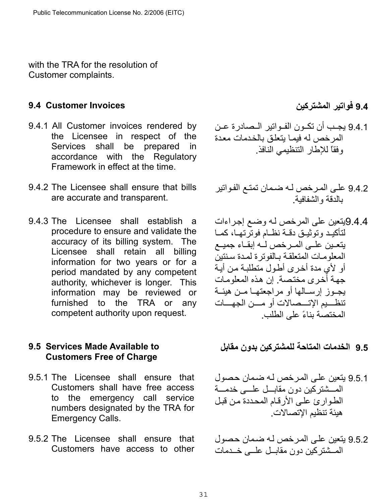with the TRA for the resolution of Customer complaints.

## <span id="page-30-0"></span>**9.4 فواتير المشترآين Invoices Customer 9.4**

- 9.4.1 All Customer invoices rendered by the Licensee in respect of the Services shall be prepared in accordance with the Regulatory Framework in effect at the time.
- 9.4.2 The Licensee shall ensure that bills are accurate and transparent.
- 9.4.3 The Licensee shall establish a procedure to ensure and validate the accuracy of its billing system. The Licensee shall retain all billing information for two years or for a period mandated by any competent authority, whichever is longer. This information may be reviewed or furnished to the TRA or any competent authority upon request.

## <span id="page-30-1"></span>**9.5 Services Made Available to Customers Free of Charge**

- 9.5.1 The Licensee shall ensure that Customers shall have free access to the emergency call service numbers designated by the TRA for Emergency Calls.
- 9.5.2 The Licensee shall ensure that Customers have access to other

- 9.4.1 يجـب أن تكـون الفـواتير الـصادرة عـن المر خص له فيما بتعلق بالخدمات معدة وفقاً للإطار التنظيمي النافذ.
- 9.4.2 على المرخص لـه ضمان تمتـع الفواتير بالدقة والشفافية.
- 9.4.4يتعين على المرخص لـه وضع إجراءات لْتَأْكَيِد وتوَثّيق دقية نظام فوترتها، كما يتعين على المرخص له إبقاء جميع المعلومات المتعلقة بالفوترة لمدة سنتين أو لأي مدة أخرى أطول متطلبة من أية جهة أخرى مختصة. إن هذه المعلومات يجـوز إرســالها أو مراجعتهـا مـن هيئــة تنظــــيم الإتــــصــالات أو مــــن الجهــــات المختصة بناءً على الطلب .

**9.5 الخدمات المتاحة للمشترآين بدون مقابل** 

- 9.5.1 يتعين على المرخص لـه ضمان حصول المسشتر كبن دون مقابسل علسى خدمسة الطوارئ على الأرقام المحددة من قبل هيئة تنظيم الإتصالات.
- 9.5.2 يتعين على المرخص لـه ضمان حصول المسشتر كين دون مقابسل علمي خـدمات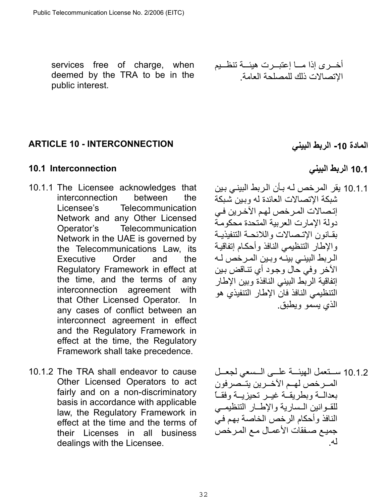services free of charge, when deemed by the TRA to be in the public interest.

أخѧѧѧѧرى إذا مѧѧѧѧا إعتبѧѧѧѧرت هيئѧѧѧѧة تنظѧѧѧѧيم الإتصالات ذلك للمصلحة العامة .

# <span id="page-31-0"></span>**ARTICLE 10 - INTERCONNECTION**

# <span id="page-31-1"></span>**10.1 الربط البيني Interconnection 10.1**

- 10.1.1 The Licensee acknowledges that interconnection between the Licensee's Telecommunication Network and any Other Licensed Operator's Telecommunication Network in the UAE is governed by the Telecommunications Law, its Executive Order and the Regulatory Framework in effect at the time, and the terms of any interconnection agreement with that Other Licensed Operator. In any cases of conflict between an interconnect agreement in effect and the Regulatory Framework in effect at the time, the Regulatory Framework shall take precedence.
- 10.1.2 The TRA shall endeavor to cause Other Licensed Operators to act fairly and on a non-discriminatory basis in accordance with applicable law, the Regulatory Framework in effect at the time and the terms of their Licenses in all business dealings with the Licensee.

**المادة -10 الربط البيني** 

10.1.1 يقر المرخص لـه بـأن الربط البينـي بـين شبكة الإتصالات العائدة له وبين شبكة إتصالات المرخص لهم الآخرين في دولة الإمارت العربية المتحدة محكومѧة بقانون الإتصالات واللائحة التنفيذيـة .<br>و الإطار التنظيمي النافذ وأحكام إتفاقية الر بط البينـي بينـه و بـين المـر خص لـه الآخر وفي حال وجود أي تنـاقض بـين إتفاقية الربط البيني النافذة وبين الإطار التنظيمي النافذ فان الإطار التنفيذي هو الذي يسمو ويطبق.

10.1.2 سـتعمل الهيئــة علــى الــسعي لجعــل المسرخص لهم الآخـرين يتـمصرفون بعدالــة وبطريقــة غيــر تحيزيــة وفقــاً للقـوانين الـسارية والإطـار التنظيمـي النافذ وأحكام الرخص الخاصة بهم في جميع صـفقات الأعمـال مـع المـرخص له .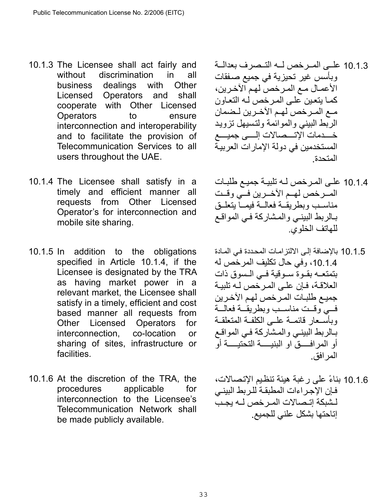- 10.1.3 The Licensee shall act fairly and without discrimination in all business dealings with Other Licensed Operators and shall cooperate with Other Licensed Operators to ensure interconnection and interoperability and to facilitate the provision of Telecommunication Services to all users throughout the UAE.
- 10.1.4 The Licensee shall satisfy in a timely and efficient manner all requests from Other Licensed Operator's for interconnection and mobile site sharing.
- 10.1.5 In addition to the obligations specified in Article 10.1.4, if the Licensee is designated by the TRA as having market power in a relevant market, the Licensee shall satisfy in a timely, efficient and cost based manner all requests from Other Licensed Operators for interconnection, co-location or sharing of sites, infrastructure or facilities.
- 10.1.6 At the discretion of the TRA, the procedures applicable for interconnection to the Licensee's Telecommunication Network shall be made publicly available.
- 10.1.3 على المرخص له التـصرف بعدالــة وبأسس غير تحيزية في جميع صـفقات الأعمـال مـع المـرخص لهم الآخـرين، كمـا يتعين علـى المرخص لـه التعـاون مـع المـرخص لهـم الآخـرين لـضمان الربط البيني والموائمة ولتسيهل تزويد خسدمات الإتسـصالات إلسـى جميسـع المستخدمين في دولة الإمار ات العربية المتحدة.
- 10.1.4 على المرخص لـه تلبيـة جميـع طلبـات المسرخص لهم الآخرين فمي وقئت مناسىب وبطريقة فعالمة فيممأ يتعلىق بالربط البيني والمشاركة في المواقع للهاتف الخلوي.
- 10.1.5 بالإضافة إلى الالتزامات المحددة في المادة ،10.1.4 وفي حال تكليف المرخص له بتمتعـه بقـوة سـوقية فـي الـسوق ذات العلاقة، فإن على المرخص لـه تلبية جميع طلبات المرخص لهم الآخرين فسي وقست مناسسب وبطريقمة فعالمة وبأسْسعار قائمـة عليي الكلفـة المتعلقـة بالربط البيني والمشاركة في المواقع أو المرافسقّ او البنيسـة التحتيــــة أو المرافق.
- 10.1.6 بناءً على رغبة هيئة تنظѧيم الإتѧصالات، فإن الإجراءات المطبقة للربط البيني لـشبكة إتـصالات المـر خص لــه يجـب إتاحتها بشكل علني للجميع.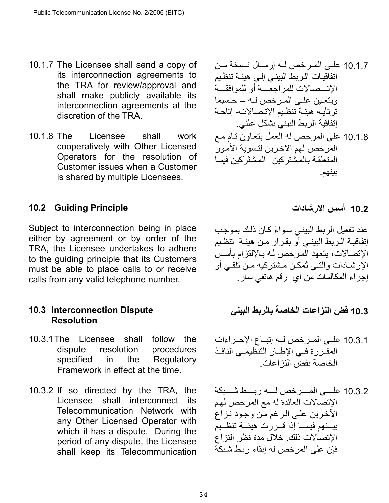- 10.1.7 The Licensee shall send a copy of its interconnection agreements to the TRA for review/approval and shall make publicly available its interconnection agreements at the discretion of the TRA.
- 10.1.8 The Licensee shall work cooperatively with Other Licensed Operators for the resolution of Customer issues when a Customer is shared by multiple Licensees.

# <span id="page-33-0"></span>**10.2 Guiding Principle**

Subject to interconnection being in place either by agreement or by order of the TRA, the Licensee undertakes to adhere to the guiding principle that its Customers must be able to place calls to or receive calls from any valid telephone number.

# <span id="page-33-1"></span>**10.3 Interconnection Dispute Resolution**

- 10.3.1 The Licensee shall follow the dispute resolution procedures specified in the Regulatory Framework in effect at the time.
- 10.3.2 If so directed by the TRA, the Licensee shall interconnect its Telecommunication Network with any Other Licensed Operator with which it has a dispute. During the period of any dispute, the Licensee shall keep its Telecommunication

10.1.7 علѧѧى المѧѧرخص لѧѧه إرسѧѧال نѧѧسخة مѧѧن اتفاقيѧات الѧربط البينѧي إلѧى هيئѧة تنظѧيم الإتѧѧѧѧѧѧصالات للمراجعѧѧѧѧѧѧة أو للموافقѧѧѧѧѧѧة ويتعѧѧين علѧѧى المѧѧرخص لѧѧه – حѧѧسبما ترتأيѧه هيئѧة تنظѧيم الإتѧصالات- إتاحѧة إتفاقية الربط البيني بشكل علني . 10.1.8 على المرخص له العمل بتعѧاون تѧام مѧع المرخص لهم الآخѧرين لتѧسوية الأمѧور المتعلقѧة بالمѧشترآين المѧشتَرَآين فيمѧا بينهم.

# **10.2 أسس الإرشادات**

عند تفعيل الربط البيني سواءً كان ذلك بموجب إتفاقيـة الـربط البينـي أو بقـرار مـن هيئـة تنظـيم الإتصالات، يتعهد الْمرخص لـه بـالإلتزام بأسس الإرشادات والتسي تُمكن مشتركيه مـن تلقـي أو إجراء المكالمات من أي رقم هاتفي سار.

# **10.3 فض النزاعات الخاصة بالربط البيني**

- 10.3.1 على المـرخص لــه إتبــاع الإجــراءات المقـررة فـي الإطـار التنظيمـي النافـذ الخاصة بفض النزاعات.
- 10.3.2 علسى المسرخص لسه ربسط شسبكة الإتصالات العائدة له مع المرخص لهѧم الآخرين على الرغم من وجود نزاع بيــنهم فيمــا إذا قــررت هيئــة تنظــيم الإتصالات ذلك. خلال مدة نظر النزاع فإن على المر خص له إبقاء ر بط شبكة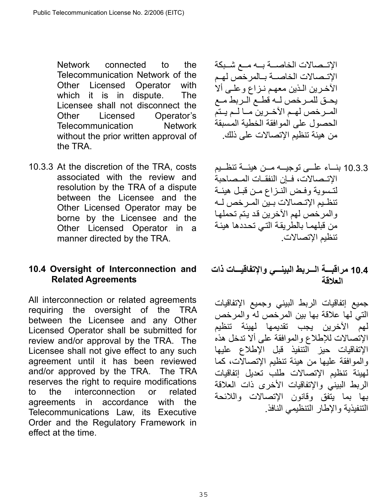Network connected to the Telecommunication Network of the Other Licensed Operator with which it is in dispute. The Licensee shall not disconnect the Other Licensed Operator's Telecommunication Network without the prior written approval of the TRA.

10.3.3 At the discretion of the TRA, costs associated with the review and resolution by the TRA of a dispute between the Licensee and the Other Licensed Operator may be borne by the Licensee and the Other Licensed Operator in a manner directed by the TRA.

## <span id="page-34-0"></span>**10.4 Oversight of Interconnection and Related Agreements**

All interconnection or related agreements requiring the oversight of the TRA between the Licensee and any Other Licensed Operator shall be submitted for review and/or approval by the TRA. The Licensee shall not give effect to any such agreement until it has been reviewed and/or approved by the TRA. The TRA reserves the right to require modifications to the interconnection or related agreements in accordance with the Telecommunications Law, its Executive Order and the Regulatory Framework in effect at the time.

الإتــصالات الخاصـــة بـــه مــع شــبكة الإتـصالات الخاصــة بـالمرخص لهـم الآخرين الـذين معهم نـزاع وعلـى ألا يحـق للمـرخص لــه قطــع الـربط مــع المــرخص لهـم الآخــرين مــا لــم يـتم الحصول على الموافقة الخطية المسبقة من هيئة تنظيم الإتصالات على ذلك .

10.3.3 بنساء علسي توجيسه مين هبئسة تنظييم الإتــصالات، ف|ن النفقــات المــصـاحبة لتسوية وفض النزاع من قبل هيئة تنظيم الإتـصالات بـين المـر خص لـه والمرخص لهم الآخرين قد يتم تحملها من قبلهمـا بالطريقـة التـي تحددها هيئـة تنظيم الإتصالات.

# **10.4 مراقبѧѧѧѧة الѧѧѧѧربط البينѧѧѧѧي والإتفاقيѧѧѧѧات ذات العلاقة**

جميع إتفاقيات الربط البيني وجميع الإتفاقيات التي لها علاقة بها بين المرخص له والمرخص لهم الآخرين يجب تقديمها لهيئة تنظيم الإتصالات للإطلاع والموافقة على ألا تدخل هذه الإتفاقيات حيز التنفيذ قبل الإطلاع عليها والموافقة عليها من هيئة تنظيم الإتصالات، كما لهيئة تنظيم الإتصالات طلب تعديل إتفاقيات الربط البيني والإتفاقيات الأخرى ذات العلاقة بها بما يتفق وقانون الإتصالات واللائحة التنفيذية والإطار التنظيمي النافذ .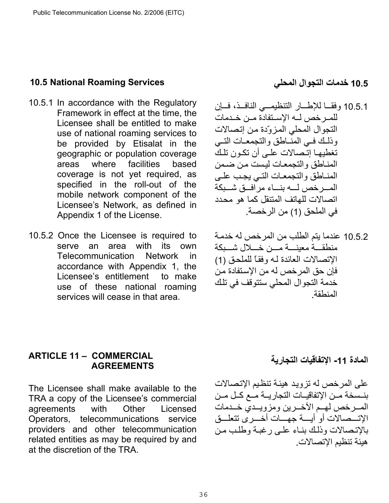### <span id="page-35-0"></span>**10.5 National Roaming Services**

- 10.5.1 In accordance with the Regulatory Framework in effect at the time, the Licensee shall be entitled to make use of national roaming services to be provided by Etisalat in the geographic or population coverage areas where facilities based coverage is not yet required, as specified in the roll-out of the mobile network component of the Licensee's Network, as defined in Appendix 1 of the License.
- 10.5.2 Once the Licensee is required to serve an area with its own Telecommunication Network in accordance with Appendix 1, the Licensee's entitlement to make use of these national roaming services will cease in that area.

## **10.5 خدمات التجوال المحلي**

- 10.5.1 وفقا للإطار التنظيمي النافد، فإن للمـرخص لــه الإسـتفادة مـن خـدمات التجوال المحلي المزوّدة من إتصالات وذلك في المنـاطق والتجمعـات التـبي تغطيهما إتـصالات علـي أن تكـون تلكَ المناطق والتجمعات ليست من ضمن المناطق والتجمعات التمي يجب علمي المسر خص لسه بنساء مر افسق شسبكة اتصالات للهاتف المتنقل كما هو محدد في الملحق )1( من الرخصة.
- 10.5.2 عندما يتم الطلب من المرخص له خدمـة منطقه معبنه مسن خسلال شسبكة الإتصالات العائدة لـه وفقاً للملحق (1) فإن حق المرخص له من الإستفادة من خدمة التجوال المحلي ستتوقف في تلك المنطقة .

## <span id="page-35-1"></span>**ARTICLE 11 – COMMERCIAL AGREEMENTS**

The Licensee shall make available to the TRA a copy of the Licensee's commercial agreements with Other Licensed Operators, telecommunications service providers and other telecommunication related entities as may be required by and at the discretion of the TRA.

# **المادة -11 الإتفاقيات التجارية**

على المرخص له تزويد هيئة تنظيم الإتصالات بنسخة مـن الإتفاقيـات التجاريــة مـع كـل مـن المسرخص لهسم الآخسرين ومزويسدي خسدمات الإتسمبالات أو أيسة جهسات أخسر ي تتعلسق بالاتـصالات وذلك بنـاء علـى رغبـة وطلب مـن هيئة تنظيم الإتصالات.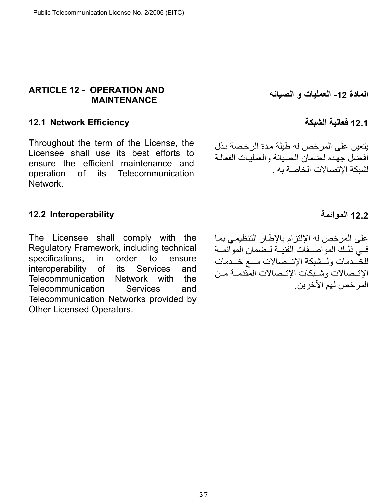## <span id="page-36-0"></span>**ARTICLE 12 - OPERATION AND MAINTENANCE**

### <span id="page-36-1"></span>**12.1 Network Efficiency**

Throughout the term of the License, the Licensee shall use its best efforts to ensure the efficient maintenance and operation of its Telecommunication Network.

**المادة -12 العمليات و الصيانه** 

## **12.1 فعالية الشبكة**

يتعين على المرخص له طيلة مدة الرخصة بذل أفضل جهده لضمان الصيانة والعمليات الفعالة لشبكة الإتصالات الخاصة به .

## <span id="page-36-2"></span>**12.2 الموائمة Interoperability 12.2**

The Licensee shall comply with the Regulatory Framework, including technical specifications, in order to ensure interoperability of its Services and Telecommunication Network with the Telecommunication Services and Telecommunication Networks provided by Other Licensed Operators.

على المرخص له الإلتزام بالإطار التنظيمي بمـا في ذلك المواصـفات الفنيــة لـضمان الموائمــة للخَـدمات ولــشبكة الإتــصالات مـــع خــدمات الإتـصالات وشـبكات الإتـصالات المقدمـة مـن المرخص لهم الآخرين .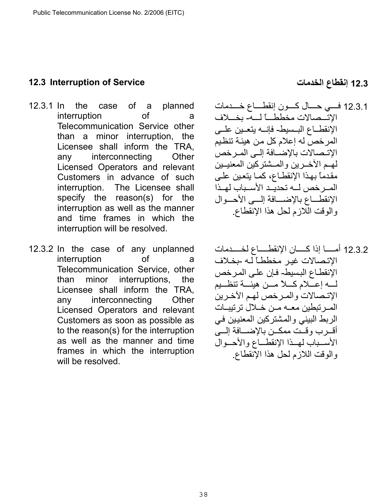### <span id="page-37-0"></span>**12.3 Interruption of Service الخدمات إنقطاع 12.3**

- 12.3.1 In the case of a planned interruption of a Telecommunication Service other than a minor interruption, the Licensee shall inform the TRA, any interconnecting Other Licensed Operators and relevant Customers in advance of such interruption. The Licensee shall specify the reason(s) for the interruption as well as the manner and time frames in which the interruption will be resolved.
- 12.3.2 In the case of any unplanned interruption of a Telecommunication Service, other than minor interruptions, the Licensee shall inform the TRA, any interconnecting Other Licensed Operators and relevant Customers as soon as possible as to the reason(s) for the interruption as well as the manner and time frames in which the interruption will be resolved.

- 12.3.1 فسي حسال كسون إنقطساع خسدمات الاتـممالات مخططـــاً لـــه- بخـــلاف الإنقطــاع البـسيط- فإنــه يتعــين علــي المرخص له إعلام كل من هيئة تنظيم الإتـصالات بالإضــافة إلــى المـرخص لهم الآخيرين والمسشتر كين المعنيين مقدماً بهذا الإنقطـاع، كمـا يتعين علـى المسرخص لمه تحديد الأسـباب لهـذا الإنقطـاع بالإضــافة إلــي الأحــوال والوقت اللازم لحل هذا الإنقطاع.
- 12.3.2 أمســا إذا كــــان الإنقطــــاع لخــــدمات الإتصالات غير مخططاً لـه -بخـلاف الإنقطـاع البسيط- فـإن علـى المر خص لــه إعــلام كــلأ مــن هيئــة تنظــيم الإتـصالات والمـرخص لهم الآخـرين المر تبطين معـه مـن خـلال تر تيبــات الربط البيني والمشتركين المعنيين في أقـرب وقـت ممكـن بالإضــافة إلــي الأسسباب لهمذا الإنقطـاع والأحسوال والوقت اللازم لحل هذا الإنقطاع.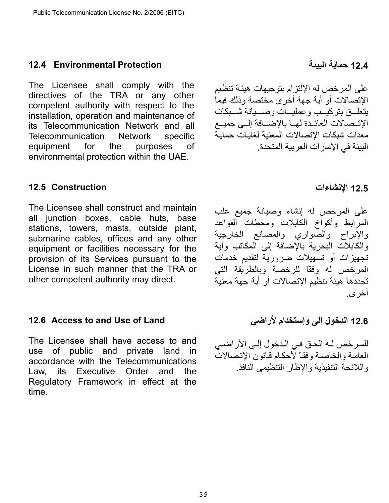## <span id="page-38-0"></span>**12.4 Environmental Protection**

The Licensee shall comply with the directives of the TRA or any other competent authority with respect to the installation, operation and maintenance of its Telecommunication Network and all Telecommunication Network specific equipment for the purposes of environmental protection within the UAE.

## <span id="page-38-1"></span>**12.5 Construction**

The Licensee shall construct and maintain all junction boxes, cable huts, base stations, towers, masts, outside plant, submarine cables, offices and any other equipment or facilities necessary for the provision of its Services pursuant to the License in such manner that the TRA or other competent authority may direct.

## <span id="page-38-2"></span>**12.6 Access to and Use of Land**

The Licensee shall have access to and use of public and private land in accordance with the Telecommunications Law, its Executive Order and the Regulatory Framework in effect at the time.

39

**12.4 حماية البيئة** 

على المرخص له الإلتزام بتوجيهات هيئة تنظيم الإتصالات أو أية جهة أخرى مختصة وذلك فيما بتعليق بتر كبيب وعمليسات وصيبانة شيبكات الإتـصالات العائـدة لهـا بالإضـافة إلــي جميـع معدات شبكات الإتصالات المعنية لغايات حماية البيئة في الإمارات العربية المتحدة.

#### **12.5 الإنشاءات**

على المرخص له إنشاء وصيانة جميع علب المرابط وأكواخ الكابلات ومحطات القواعد والإبراج والصواري والمصانع الخارجية والكابلات البحرية بالإضافة إلى المكاتب وأية تجهيزات أو تسهيلات ضرورية لتقديم خدمات المرخص له وفقاً للرخصة وبالطريقة التي تحددها هيئة تنظيم الإتصالات أو أية جهة معنية أخرى .

**12.6 الدخول إلى وإستخدام لأراضي**

للمرخص لـه الحق في الـدخول إلـى الأراضـي العامـة والخاصـة وفقـاً لأحكـام قـانون الإتـصـالات واللائحة التنفيذية والإطار التنظيمي النافذ .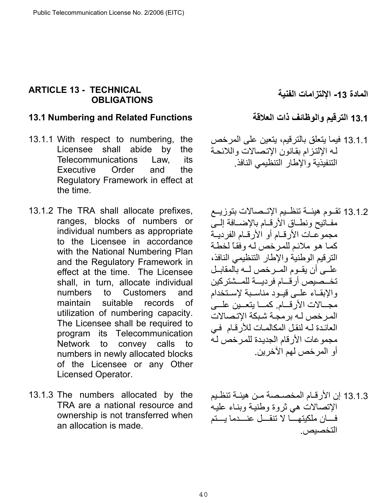## <span id="page-39-0"></span>**ARTICLE 13 - TECHNICAL OBLIGATIONS**

## <span id="page-39-1"></span>**13.1 الترقيم والوظائف ذات العلاقة Functions Related and Numbering 13.1**

- 13.1.1 With respect to numbering, the Licensee shall abide by the Telecommunications Law, its Executive Order and the Regulatory Framework in effect at the time.
- 13.1.2 The TRA shall allocate prefixes, ranges, blocks of numbers or individual numbers as appropriate to the Licensee in accordance with the National Numbering Plan and the Regulatory Framework in effect at the time. The Licensee shall, in turn, allocate individual numbers to Customers and maintain suitable records of utilization of numbering capacity. The Licensee shall be required to program its Telecommunication Network to convey calls to numbers in newly allocated blocks of the Licensee or any Other Licensed Operator.
- 13.1.3 The numbers allocated by the TRA are a national resource and ownership is not transferred when an allocation is made.

**المادة -13 الإلتزامات الفنية** 

- 13.1.1 فيما يتعلق بالترقيم، يتعين على المرخص له الإلتزام بقانون الإتصالات واللائحة التنفيذية والإطار التنظيمي النافذ.
- 13.1.2 تقــوم هيئــة تنظــيم الإتــصـالات بتوزيــع مفاتيح ونطاق الأرقام بالإضافة إلىي مجموعات الأرقام أو الأرقام الفرديــة كما هو ملائم للمرخص له وفقاً لخطة الترقيم الوطنية والإطار التنظيمي النافذ، علــي أن يقـوم المـر خص لــه بالمقابـل تخــصيص أرقــام فرديـــة للمــشتركين والإبقاء عليى قيود مناسبة لإستخدام مجــالات الأرقــام. كمــا يتعــين علـــي المر خص لـه بر مجـة شبكة الإتـصالات العائدة لـه لنقل المكالمات للأر قـام في مجموعات الأرقام الجديدة للمرخص له أو المرخص لهم الآخرين.
- 13.1.3 إن الأرقـام المخصـصة مـن هيئـة تنظـيم الإتصالات هي ثروة وطنية وبنـاء عليـه فسان ملكيتهسا لا تنقسل عنسدما يستم التخصيص.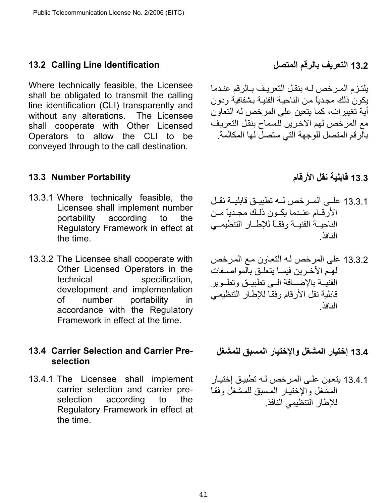### <span id="page-40-0"></span>**13.2 Calling Line Identification**

Where technically feasible, the Licensee shall be obligated to transmit the calling line identification (CLI) transparently and without any alterations. The Licensee shall cooperate with Other Licensed Operators to allow the CLI to be conveyed through to the call destination.

### <span id="page-40-1"></span>**13.3 Number Portability**

- 13.3.1 Where technically feasible, the Licensee shall implement number portability according to the Regulatory Framework in effect at the time.
- 13.3.2 The Licensee shall cooperate with Other Licensed Operators in the technical specification, development and implementation of number portability in accordance with the Regulatory Framework in effect at the time.

## <span id="page-40-2"></span>**13.4 Carrier Selection and Carrier Preselection**

13.4.1 The Licensee shall implement carrier selection and carrier preselection according to the Regulatory Framework in effect at the time.

**13.2 التعريف بالرقم المتصل**

# يلتزم المرخص لـه بنقل التعريف بـالرقم عندما يكون ذلك مجدياً من الناحيـة الفنيـة بشفافية ودون أية تغييرات، كما يتعين على المرخص له التعاون مع المرخص لهم الآخرين للسماح بنقل التعريف بالرقم المتصل للوجهة التي ستصل لها المكالمة.

# **13**.**3 قابلية نقل الأرقام**

- 13.3.1 علـي المـر خص لــه تطبيــق قابليــة نقــل الأر قام عندما بكـون ذلـك مجـدباً مـن الناحيــة الفنيــة وفقــاً للإطــار التنظيمــي النافذ.
- 13.3.2 على المرخص لـه التعاون مـع المرخص لهم الآخرين فيما يتعلق بالمواصفات الفنيــة بالإضـــافة الــي تطبيــق وتطــوير قابلية نقل الأرقام وفقا للإطار التنظيمي النافذ.

**13.4 إختيار المشغل والإختيار المسبق للمشغل** 

13.4.1 يتعين على المرخص لـه تطبيق إختيار المشغل والإختيار المسبق للمشغل وفقاً للإطار التنظيمي النافذ.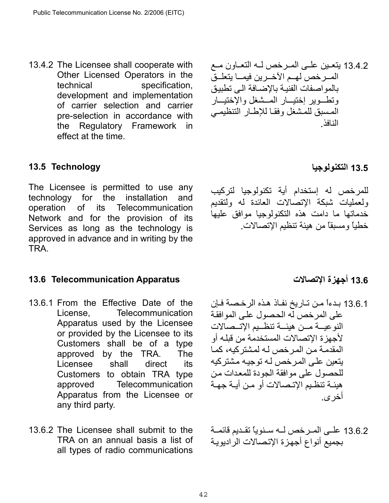13.4.2 The Licensee shall cooperate with Other Licensed Operators in the technical specification, development and implementation of carrier selection and carrier pre-selection in accordance with the Regulatory Framework in effect at the time.

## <span id="page-41-0"></span>**13.5 Technology**

The Licensee is permitted to use any technology for the installation and operation of its Telecommunication Network and for the provision of its Services as long as the technology is approved in advance and in writing by the TRA.

## <span id="page-41-1"></span>**13.6 أجهزة الإتصالات Apparatus Telecommunication 13.6**

- 13.6.1 From the Effective Date of the License, Telecommunication Apparatus used by the Licensee or provided by the Licensee to its Customers shall be of a type approved by the TRA. The Licensee shall direct its Customers to obtain TRA type approved Telecommunication Apparatus from the Licensee or any third party.
- 13.6.2 The Licensee shall submit to the TRA on an annual basis a list of all types of radio communications

13.4.2 يتعـين علـى المـرخص لــه التعـاون مـع المسرخص لهـم الآخــرين فيمــا يتعلــقّ بالمو اصفات الفنية بالإضبافة الى تطبيق وتطـوير إختيـار المـشغل والإختيــار المسبق للمشغل وفقا للإطار التنظيمي النافذ.

**13.5 التكنولوجيا**

للمرخص له إستخدام أية تكنولوجيا لتركيب ولعمليات شبكة الإتصالات العائدة له ولتقديم خدماتها ما دامت هذه التكنولوجيا موافق عليها خطياً ومسبقاً من هيئة تنظيم الإتصالات .

13.6.1 بدءاً من تـاريخ نفـاذ هذه الرخصـة فـإن على المرخص لّه الحصول على الموافقة النوعيــة مــن هيئــة تنظــيم الإتــصالات لأجهزة الإتصالات المستخدمة من قبلѧه أو المقدمة من المرخص له لمشتركيه، كما يتعين على المر خص لـه توجيـه مشتر كيه للحصول على موافقة الجودة للمعدات من هيئـة تنظـيم الإتـصـالات أو مـن أيـة جهـة أخرى.

13.6.2 علـي المـرخص لــه سـنوياً تقـديم قائمــة بجميع أنواع أجهزة الإتصالات الراديوية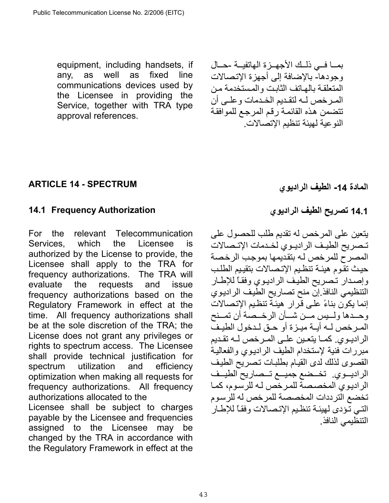equipment, including handsets, if any, as well as fixed line communications devices used by the Licensee in providing the Service, together with TRA type approval references.

بما في ذلك الأجهـزة الهاتفيـة -حـال وجودها- بالإضافة إلى أجهز ة الإتصالات المتعلقة بالهاتف الثابت والمستخدمة من المرخص له لتقديم الخدمات وعلى أن تتضمن هذه القائمة ر قم المر جع للمو افقة النوعية لهيئة تنظيم الإتصالات.

## <span id="page-42-0"></span>**ARTICLE 14 - SPECTRUM**

## <span id="page-42-1"></span>**14.1 تصريح الطيف الراديوي Authorization Frequency 14.1**

For the relevant Telecommunication Services, which the Licensee is authorized by the License to provide, the Licensee shall apply to the TRA for frequency authorizations. The TRA will evaluate the requests and issue frequency authorizations based on the Regulatory Framework in effect at the time. All frequency authorizations shall be at the sole discretion of the TRA; the License does not grant any privileges or rights to spectrum access. The Licensee shall provide technical justification for spectrum utilization and efficiency optimization when making all requests for frequency authorizations. All frequency authorizations allocated to the

Licensee shall be subject to charges payable by the Licensee and frequencies assigned to the Licensee may be changed by the TRA in accordance with the Regulatory Framework in effect at the

**المادة -14 الطيف الراديوي** 

يتعين على المرخص له تقديم طلب للحصول على تصريح الطيف الراديوي لخدمات الإتصالات المصرح للمرخص لـه بتقديمها بموجب الرخصة حيث تقوم هيئة تنظيم الإتصالات بتقييم الطلب وإصدار تصريح الطيف الراديوي وفقاً للإطار التنظيمي النافذ إن منح تصاريح الطيف الراديوي إنما يكون بناءً على قُرار هيئةً تنظيم الإتصالات وحـدها ولــيس مــن شــأن الرخــصة أن تمــنح المرخص لـه أيـة ميـزة أو حـق لـدخول الطيـفّ الر اديـوي. كمـا يتعـين علـي المـر خص لـه تقـديم مبررات فنية لإستخدام الطيف الراديوي والفعالية القصوى لذلك لدى القيام بطلبات تصريح الطيف الراديسوي. تخمضع جميسع تسصاريح الطيسف الراديوي المخصصة للمرخص لـه للرسوم، كمـا تخضع الترددات المخصصة للمرخص له للرسوم التيي تؤدى لهيئة تنظيم الإتصالات وفقاً للإطار التنظيمي النافذ.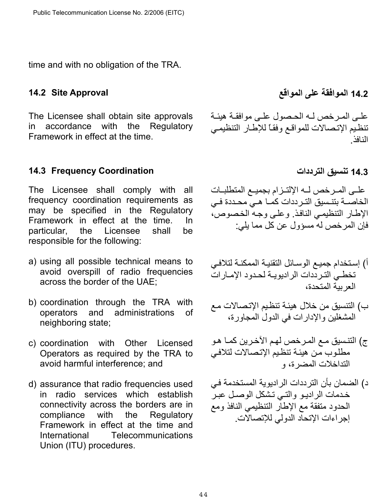time and with no obligation of the TRA.

The Licensee shall obtain site approvals in accordance with the Regulatory Framework in effect at the time.

## <span id="page-43-1"></span>**14.3 تنسيق الترددات Coordination Frequency 14.3**

The Licensee shall comply with all frequency coordination requirements as may be specified in the Regulatory Framework in effect at the time. In particular, the Licensee shall be responsible for the following:

- a) using all possible technical means to avoid overspill of radio frequencies across the border of the UAE;
- b) coordination through the TRA with operators and administrations of neighboring state;
- c) coordination with Other Licensed Operators as required by the TRA to avoid harmful interference; and
- d) assurance that radio frequencies used in radio services which establish connectivity across the borders are in compliance with the Regulatory Framework in effect at the time and International Telecommunications Union (ITU) procedures.

<span id="page-43-0"></span>**14.2 الموافقة على المواقع Approval Site 14.2**

علمي المرخص لـه الحصول علمي موافقـة هيئـة تنظيم الإتصالات للمواقع وفقاً للإطار التنظيمي النافذ.

علـى المـرخص لــه الإلتـزام بجميـع المتطلبـات الخاصــة بتنـسيق التـر ددات كمــا هـي محـددة فـي الإطار التنظيمي النافذ. وعلي وجه الخصوص، فإن المر خص له مسؤول عن كل مما يلي:

- أ) إستخدام جميع الوسائل التقنية الممكنـة لتلافـي تخطي الترددات الراديويـة لحدود الإمـارات العربية المتحدة،
- ب) التنسيق من خلال هيئـة تنظيم الإتصـالات مـع المشغلين والإدارات في الدول المجاورة،
- ج) التنسيق مـع المرخص لهم الآخرين كمـا هـو مطلوب من هيئة تنظيم الإتصالات لتلافي التداخلات المضرة، و
- د) الضمان بأن الترددات الراديوية المستخدمة في خدمات الراديو والتي تشكل الوصل عبر الحدود متفقة مع الإطار التنظيمي النافذ ومع إجراءات الإتحاد الدولي للإتصالات.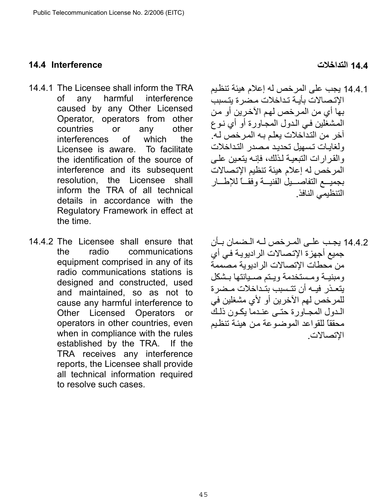#### <span id="page-44-0"></span>**14.4 التداخلات Interference 14.4**

- 14.4.1 The Licensee shall inform the TRA of any harmful interference caused by any Other Licensed Operator, operators from other countries or any other interferences of which the Licensee is aware. To facilitate the identification of the source of interference and its subsequent resolution, the Licensee shall inform the TRA of all technical details in accordance with the Regulatory Framework in effect at the time.
- 14.4.2 The Licensee shall ensure that the radio communications equipment comprised in any of its radio communications stations is designed and constructed, used and maintained, so as not to cause any harmful interference to Other Licensed Operators or operators in other countries, even when in compliance with the rules established by the TRA. If the TRA receives any interference reports, the Licensee shall provide all technical information required to resolve such cases.

- 14.4.1 يجب على المرخص له إعلام هيئة تنظيم الإتصالات بأيـة تداخلات مضر ة يتسبب بها أي من المر خص لهم الآخر بن أو من المشغلين في الدول المجاورة أو أي نـوع آخر من التداخلات يعلم بـه المرخص لـه. ولغابات تسهيل تحديد مصدر التداخلات والقرارات التبعيـة لـذلك، فإنـه يتعين علـى المرخص له إعلام هيئة تنظيم الإتصالات بجميسع التفاصسيل الفنيسة وفقسا للإطسار التنظيمي النافذ.
- 14.4.2 يجب علـي المـر خص لــه الـضمان بـأن جميع أجهزة الإتصالات الراديويـة في أي من محطات الاتصالات الر ادبو بة مصممة ومبنيـة ومـستخدمة ويـتم صـيانتها بـشكل يتعـذر فيـه أن تتـسبب بتـداخلات مـضر ة للمرخص لهم الآخرين أو لأي مشغلين في المدول المجاورة حتبي عنيدما يكبون ذلك محققاً للقواعد الموضوعة من هبئـة تنظيم الإتصالات.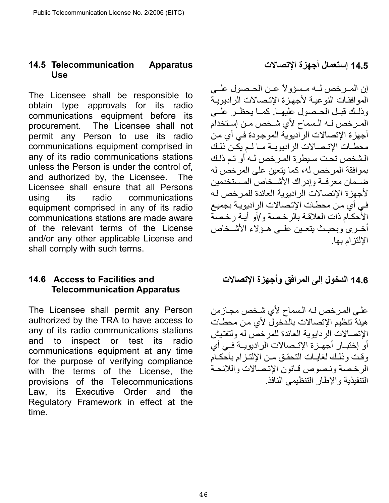### <span id="page-45-0"></span>**14.5 Telecommunication Apparatus Use**

The Licensee shall be responsible to obtain type approvals for its radio communications equipment before its procurement. The Licensee shall not permit any Person to use its radio communications equipment comprised in any of its radio communications stations unless the Person is under the control of, and authorized by, the Licensee. The Licensee shall ensure that all Persons using its radio communications equipment comprised in any of its radio communications stations are made aware of the relevant terms of the License and/or any other applicable License and shall comply with such terms.

## <span id="page-45-1"></span>**14.6 Access to Facilities and Telecommunication Apparatus**

The Licensee shall permit any Person authorized by the TRA to have access to any of its radio communications stations and to inspect or test its radio communications equipment at any time for the purpose of verifying compliance with the terms of the License, the provisions of the Telecommunications Law, its Executive Order and the Regulatory Framework in effect at the time.

**14.5 إستعمال أجهزة الإتصالات** 

إن المرخص لـه مـسؤولاً عـن الحـصول علـي الموافقات النوعية لأجهزة الإتصالات الراديوية وذلك قبل الحـصول عليهـا. كمـا يحظـر علـى المرخص لـه الـسماح لأي شـخص مـن إسـتخدام أجهزة الإتصالات الراديوية الموجودة في أي من محطـات الإتـصـالات الراديويــة مــا لـم يكـن ذلـك الشخص تحت سيطرة المرخص لـه أو تم ذلك بموافقة المرخص له، كما يتعين على المرخص له ضهان معرفهة وإدراك الأشهجاص المستخدمين لأجهزة الإتصالات الراديوية العائدة للمرخص لـه في أي من محطـات الإتـصـالات الراديويـة بجميع الأحكام ذات العلاقة بالرخصة و/أو أيـة رخصة أخيري وبحيث يتعين عليي هـؤلاء الأشـخاص الإلتزام بها.

**14.6 الدخول إلى المرافق وأجهزة الإتصالات**

على المرخص لـه الـسماح لأي شـخص مجـازمن هيئة تنظيم الإتصالات بالدّخول لأي من محطات الإتصالات الردايوية العائدة للمرخص له ولتفتيش أو إختبـار أجهـزة الإتـصالات الراديويــة فـي أي وقت وذلك لغايات التحقق من الإلتزام بأحكام الرخصة ونصوص قانون الإتصالات واللائحة التنفيذية والإطار التنظيمي النافذ .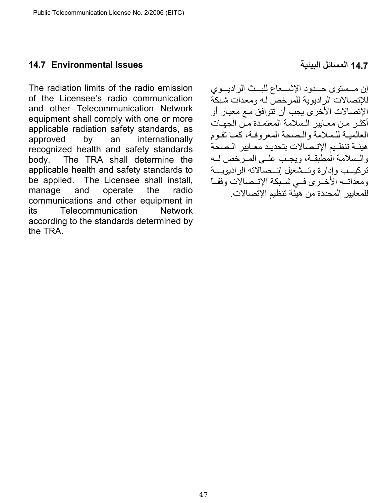### <span id="page-46-0"></span>**14.7 المسائل البيئية Issues Environmental 14.7**

The radiation limits of the radio emission of the Licensee's radio communication and other Telecommunication Network equipment shall comply with one or more applicable radiation safety standards, as approved by an internationally recognized health and safety standards body. The TRA shall determine the applicable health and safety standards to be applied. The Licensee shall install, manage and operate the radio communications and other equipment in its Telecommunication Network according to the standards determined by the TRA.

إن مــستوى حــدود الإشــعاع للبــث الراديـــوي للإتصالات الراديوية للمرخص لـه ومعدات شبكة الإتصالات الأخر ي يجب أن تتوافق مع معيار أو أكثـر مـن معـابير الـسلامة المعتمـدة مـن الجهـات العالمية للسلامة والصحة المعروفة، كما تقوم هيئـة تنظـيم الإتـصالات بتحديـد معـايير الـصحة والسلامة المطبقـة، ويجب علـى المـر خص لـه تركيسب وإدارة وتسشغيل إتسصالاته الراديويسة ومعداتــه الأخـرى فـي شـبكة الإتــصالات وفقــأ للمعايير المحددة من هيئة تنظيم الإتصالات.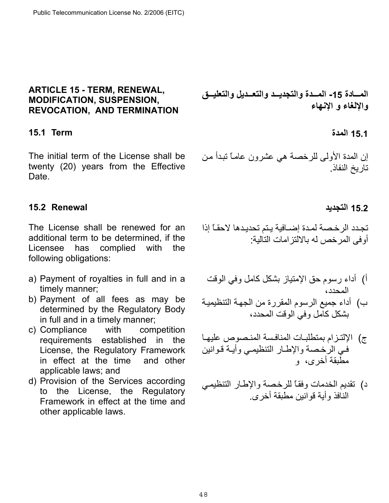### <span id="page-47-0"></span>**ARTICLE 15 - TERM, RENEWAL, MODIFICATION, SUSPENSION, REVOCATION, AND TERMINATION**

# <span id="page-47-1"></span>**15.1 المدة Term 15.1**

The initial term of the License shall be twenty (20) years from the Effective Date.

## <span id="page-47-2"></span>**15.2 التجديد Renewal 15.2**

The License shall be renewed for an additional term to be determined, if the Licensee has complied with the following obligations:

- a) Payment of royalties in full and in a timely manner;
- b) Payment of all fees as may be determined by the Regulatory Body in full and in a timely manner;
- c) Compliance with competition requirements established in the License, the Regulatory Framework in effect at the time and other applicable laws; and
- d) Provision of the Services according to the License, the Regulatory Framework in effect at the time and other applicable laws.

المسادة 15- المسدة والتجديسد والتعسديل والتعليسق **والإلغاء و الإنهاء** 

إن المدة الأولى للرخصة هي عشرون عامـًا تبدأ من تاريخ النفاذ.

تجدد الرخصة لمدة إضـافية يـتم تحديدها لاحقـًا إذا أوفى المرخص له بالالتزامات التالية :

- أ) أداء رسوم حق الإمتياز بشكل كامل وفي الوقت المحدد،
- ب) أداء جميع الرسوم المقررة من الجهة التنظيمية بشكل كامل وفي الوقت المحدد،
- ج) الإلتزام بمتطلبات المنافسة المنصوص عليها في الرخصة والإطار التنظيمي وأيـة قـوانين مطبقة أخرى، و
- د) تقديم الخدمات وفقـًا للرخصة والإطـار التنظيمـي النافذ وأية قوانين مطبقة أخرى .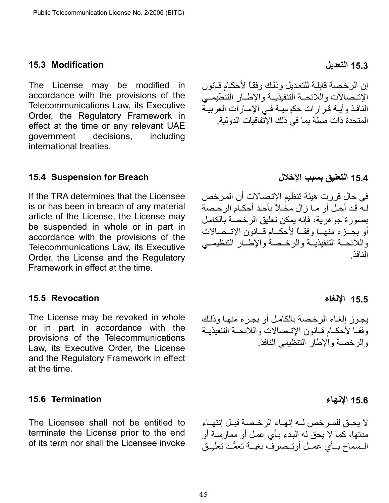#### <span id="page-48-0"></span>**15.3 التعديل Modification 15.3**

The License may be modified in accordance with the provisions of the Telecommunications Law, its Executive Order, the Regulatory Framework in effect at the time or any relevant UAE government decisions, including international treaties.

#### <span id="page-48-1"></span>**15.4 التعليق بسبب الإخلال Breach for Suspension 15.4**

If the TRA determines that the Licensee is or has been in breach of any material article of the License, the License may be suspended in whole or in part in accordance with the provisions of the Telecommunications Law, its Executive Order, the License and the Regulatory Framework in effect at the time.

#### <span id="page-48-2"></span>**15.5 Revocation**

The License may be revoked in whole or in part in accordance with the provisions of the Telecommunications Law, its Executive Order, the License and the Regulatory Framework in effect at the time.

#### <span id="page-48-3"></span>**15.6 الإنهاء Termination 15.6**

The Licensee shall not be entitled to terminate the License prior to the end of its term nor shall the Licensee invoke إن الرخصة قابلة للتعديل وذلك وفقاً لأحكام قانون الاتـصالات واللائحـة التنفيذيـة والإطـار التنظيمــى النافذ وأيـة قرارات حكوميـة فـي الإمـارات العربيـة المتحدة ذات صلة بما في ذلك الإتفاقيات الدولية.

في حال قررت هيئة تنظيم الإتصالات أن المرخص لـه قد أخل أو مـا زال مخلاً بأحد أحكـام الرخصة بصورة جوهرية، فإنه يمكن تعليق الرخصة بالكامل أو بجبز ء منهيا وفقياً لأحكيام قيانون الاتسصالات واللائحـة التنفيذيـة والرخـصة والإطـار التنظيمـي النافذ.

## **15.5 الإلغاء**

يجوز إلغاء الرخصة بالكامل أو بجزء منها وذلك وفقـاً لأحكـام قـانون الإتـصالات واللائحـة التنفيذيـة والرخصة والإطار التنظيمي النافذ.

لا يحـق للمـر خص لــه إنهـاء الر خـصة قبـل إنتهـاء مدتها، كما لا يحق له البدء بـأي عمل أو ممارسة أو المسماح بسأي عميل أوتبصر ف بغيبة تعمُّد تعليـق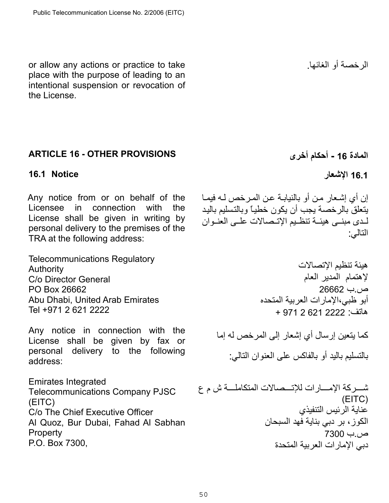or allow any actions or practice to take place with the purpose of leading to an intentional suspension or revocation of the License.

# <span id="page-49-0"></span>**ARTICLE 16 - OTHER PROVISIONS**

## <span id="page-49-1"></span>**16.1 الإشعار Notice 16.1**

Any notice from or on behalf of the Licensee in connection with the License shall be given in writing by personal delivery to the premises of the TRA at the following address:

Telecommunications Regulatory Authority C/o Director General PO Box 26662 Abu Dhabi, United Arab Emirates Tel +971 2 621 2222

Any notice in connection with the License shall be given by fax or personal delivery to the following address:

Emirates Integrated Telecommunications Company PJSC (EITC) C/o The Chief Executive Officer Al Quoz, Bur Dubai, Fahad Al Sabhan **Property** P.O. Box 7300,

الرخصة أو الغائها.

**المادة 16 - أحكام أخرى** 

إن أي إشعار من أو بالنيابـة عن المرخص لـه فيمـا يتعلق بالرخصة يجب أن يكون خطياً وبالتسليم باليد لدى مبنـى هيئــة تنظـيم الإتـصالات علــى العنــوان التالي:

> هيئة تنظيم الإتصالات لإهتمام المدير العام ص.ب 26662 أبو ظبي،الإمارات العربية المتحده هاتف: 2222 621 2 971 +

آما يتعين إرسال أي إشعار إلى المرخص له إما بالتسليم باليد أو بالفاكس على العنوان التالي:

شسر كة الإمسارات للإتسصالات المتكاملسة ش م ع (EITC) عناية الرئيس التنفيذي الكوز، بر دبي بناية فهد السبحان ص.ب 7300 دبي الإمارات العربية المتحدة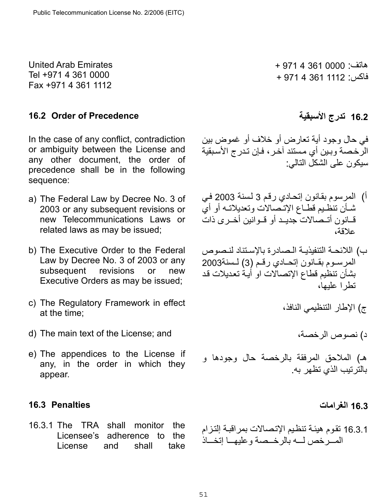United Arab Emirates Tel +971 4 361 0000 Fax +971 4 361 1112

## <span id="page-50-0"></span>**16.2 Order of Precedence الأسبقية تدرج 16.2**

In the case of any conflict, contradiction or ambiguity between the License and any other document, the order of precedence shall be in the following sequence:

- a) The Federal Law by Decree No. 3 of 2003 or any subsequent revisions or new Telecommunications Laws or related laws as may be issued;
- b) The Executive Order to the Federal Law by Decree No. 3 of 2003 or any subsequent revisions or new Executive Orders as may be issued;
- c) The Regulatory Framework in effect at the time;
- d) The main text of the License; and
- e) The appendices to the License if any, in the order in which they appear.

## <span id="page-50-1"></span>**16.3 Penalties**

16.3.1 The TRA shall monitor the Licensee's adherence to the License and shall take

هاتف: 0000 361 4 971 + فاآس: 1112 361 4 971 +

في حال وجود أية تعارض أو خلاف أو غموض بين الرخصة وبين أي مستند آخر ، فإن تدرج الأسبقية سيكون على الشكل التالي :

- أ) المرسوم بقـانون إتحـادي رقم 3 لسنة 2003 في شان تنظيم قطاع الإتـصالات وتعديلاتـه أو أي قانون أتــصالات جديـد أو قــوانين أخــرى ذات علاقة،
- ب) اللائحـة التنفيذيـة الـصادرة بالإسـتناد لنـصوص المرسـوم بقـانون إتحـادي رقـم (3) لـسنة2003 بشأن تنظيم قطاع الإتصالات او أيـة تعديلات قد تطرا علبها،
	- ج) الإطار التنظيمي النافذ،

د) نصوص الرخصة،

هـ) الملاحق المرفقة بالرخصة حال وجودها و بالترتيب الذي تظهر به .

## **16.3 الغرامات**

16.3.1 تقوم هيئـة تنظيم الإتصـالات بمراقبـة إلتـزام المصر خص لمه بالرخصة وعليهما إتخساذ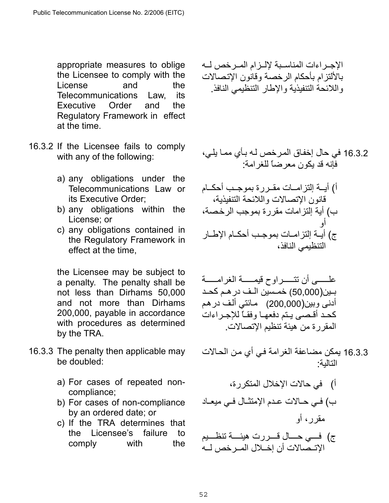appropriate measures to oblige the Licensee to comply with the License and the Telecommunications Law, its Executive Order and the Regulatory Framework in effect at the time.

- 16.3.2 If the Licensee fails to comply with any of the following:
	- a) any obligations under the Telecommunications Law or its Executive Order;
	- b) any obligations within the License; or
	- c) any obligations contained in the Regulatory Framework in effect at the time,

the Licensee may be subject to a penalty. The penalty shall be not less than Dirhams 50,000 and not more than Dirhams 200,000, payable in accordance with procedures as determined by the TRA.

- 16.3.3 The penalty then applicable may be doubled:
	- a) For cases of repeated noncompliance;
	- b) For cases of non-compliance by an ordered date; or
	- c) If the TRA determines that the Licensee's failure to comply with the

الإجـراءات المناسـبة لإلــزام المــرخص لــه بالألتزام بأحكام الرخصة وقانون الإتѧصالات واللائحة التنفيذية والإطار التنظيمي النافذ.

16.3.2 في حال إخفاق المرخص لـه بـأي ممـا يلـي، فإنه قد يكون معرضاً للغرامة : أ) أيـــة إلتزامـــات مقــررة بموجــب أحكــام قانون الإتصالات واللائحة التنفيذية، ب) أية إلتزامات مقررة بموجب الرخصة، أو ج) أيــة إلتزامــات بموجـب أحكــام الإطــار

التنظيمي النافذ،

- علــــــي أن تتــــــراوح قيمــــــة الغرامـــــة بـين(50,000) خمـسين الـف در هـم كحـد أدنى وبين(200,000) مائتي ألف در هم كحد أقصبي يتم دفعها وفقياً للإجر اءات المقررة من هيئة تنظيم الإتصالات.
- 16.3.3 يمكن مضاعفة الغرامة في أي من الحالات التالية: أ) في حالات الإخلال المتكررة، ب) فـي حـالات عـدم الإمتثـال فـي ميعـاد مقرر، أو ج) فسي حسال قسررت هيئسة تنظسيم الاتــصالات أن إخــلال المــر خص لــه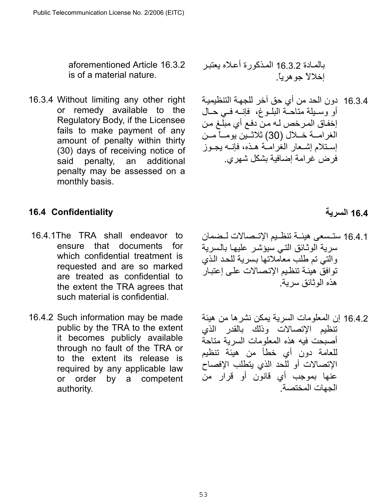aforementioned Article 16.3.2 is of a material nature.

16.3.4 Without limiting any other right or remedy available to the Regulatory Body, if the Licensee fails to make payment of any amount of penalty within thirty (30) days of receiving notice of said penalty, an additional penalty may be assessed on a monthly basis.

## <span id="page-52-0"></span>**16.4 السرية Confidentiality 16.4**

- 16.4.1The TRA shall endeavor to ensure that documents for which confidential treatment is requested and are so marked are treated as confidential to the extent the TRA agrees that such material is confidential.
- 16.4.2 Such information may be made public by the TRA to the extent it becomes publicly available through no fault of the TRA or to the extent its release is required by any applicable law or order by a competent authority.

## بالمـادة 16.3.2 المـذكورة أعـلاه يعتبر إخلالاً جوهرياً .

16.3.4 دون الحد من أي حق آخر للجهـة التنظيميـة أو وسـبلة متاحـّة البلـوغ، فإنــه فـي حـال إخفاق المرخص لـه منّ دفع أي مبلّغ من الغرامــة خــلال (30) ثلاثــين يومــاً مــن إستلام إشعار الغرامية هذه، فإنسه بجبوز فرض غرامة إضافية بشكل شهري.

- 16.4.1 ستسعى هيئـة تنظـيم الإتـصالات لـضمان سرية الوثائق التي سيؤشر عليها بالسرية والتي تم طلب معاملاتها بسرية للحد الذي توافق هيئة تنظيم الإتصالات على إعتبار هذه الوثائق سرية.
- 16.4.2 إن المعلومات السرية يمكن نشرها من هيئة تنظيم الإتصالات وذلك بالقدر الذي أصبحت فيه هذه المعلومات السرية متاحة للعامة دون أي خطأ من هيئة تنظيم الإتصالات أو للحد الذي يتطلب الإفصاح عنها بموجب أي قانون أو قرار من الجهات المختصة.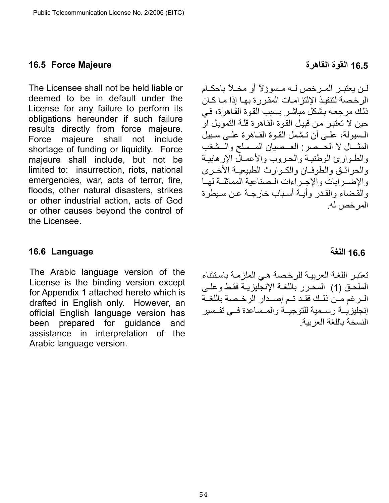#### <span id="page-53-0"></span>**16.5 القوة القاهرة Majeure Force 16.5**

The Licensee shall not be held liable or deemed to be in default under the License for any failure to perform its obligations hereunder if such failure results directly from force majeure. Force majeure shall not include shortage of funding or liquidity. Force majeure shall include, but not be limited to: insurrection, riots, national emergencies, war, acts of terror, fire, floods, other natural disasters, strikes or other industrial action, acts of God or other causes beyond the control of the Licensee.

لـن يعتبـر المـر خص لـه مـسوؤلاً أو مخـلاً باحكـام الرخصة لتنفيذ الإلتزامات المقررة بها إذا مـا كـان ذلك مر جعه بشكل مباشر بسبب القوة القاهرة، في حين لا تعتبر من قبيل القوة القاهرة قلّـه التمويل او المسيولة، علمي أن تشمل القوة القاهرة علمي سبيل المثسال لا الحسصر: العسصيان المسسلح والمشغب والطـوارئ الوطنيـة والحـروب والأعمـال الإرهابيـة والحرائق والطوفان والكوارث الطبيعية الأخرى والإضير ابات والإجير اءات البصناعية المماثلية لهيا والقضاء والقدر وأبية أسباب خارجية عن سبطرة المرخص له.

### <span id="page-53-1"></span>**16.6 Language**

The Arabic language version of the License is the binding version except for Appendix 1 attached hereto which is drafted in English only. However, an official English language version has been prepared for guidance and assistance in interpretation of the Arabic language version.

تعتبر اللغة العربية للرخصة هي الملزمة باستثناء الملحق (1) المحرر باللغـة الإنجليزيـة فقط وعلـي السرغم مـن ذلك فقـد تـم إصـدار الرخـصة باللغـة إنجليزيــة رسـمية للتوجيــة والمـساعدة فــي تفـسير النسخة باللغة العربية

## **16.6 اللغة**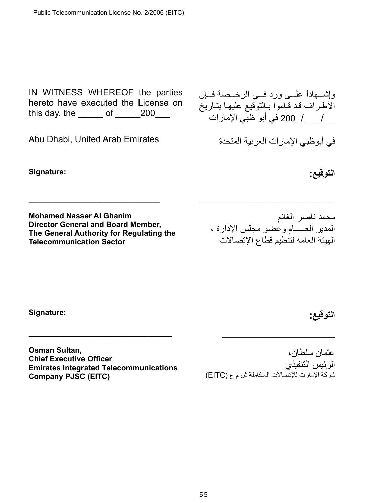IN WITNESS WHEREOF the parties hereto have executed the License on this day, the  $\rule{1em}{0.15mm}$  of  $\rule{1.5mm}{0.15mm}$  200 $\rule{1.5mm}{0.15mm}$ 

Abu Dhabi, United Arab Emirates

**\_\_\_\_\_\_\_\_\_\_\_\_\_\_\_\_\_\_\_\_\_\_\_\_\_\_\_\_\_\_\_** 

**Signature:** 

**Mohamed Nasser Al Ghanim Director General and Board Member, The General Authority for Regulating the Telecommunication Sector** 

وإشهاداً علمي ورد فمي الرخـممة فسإن الأطراف قد قـاموا بـالتوقيع عليهـا بتـاريخ \_\_/\_\_\_ \_/ 200 في أبو ظبي الإمارات

في أبوظبي الإمارات العربية المتحدة

**التوقيع :**

محمد ناصر الغانم المدير العـــــام وعضو مجلس الإدارة ، الهيئة العامه لتنظيم قطاع الإتصالات

\_\_\_\_\_\_\_\_\_\_\_\_\_\_\_\_\_\_\_\_\_\_\_\_

**Signature:** 

**التوقيع:** 

**Osman Sultan, Chief Executive Officer Emirates Integrated Telecommunications Company PJSC (EITC)**

**\_\_\_\_\_\_\_\_\_\_\_\_\_\_\_\_\_\_\_\_\_\_\_\_\_\_\_\_\_** 

عثمان سلطان، الرئيس التنفيذي .<br>شركة الإمارت للإتصالات المتكاملة ش م ع (EITC)

 $\overline{\phantom{a}}$  , where  $\overline{\phantom{a}}$